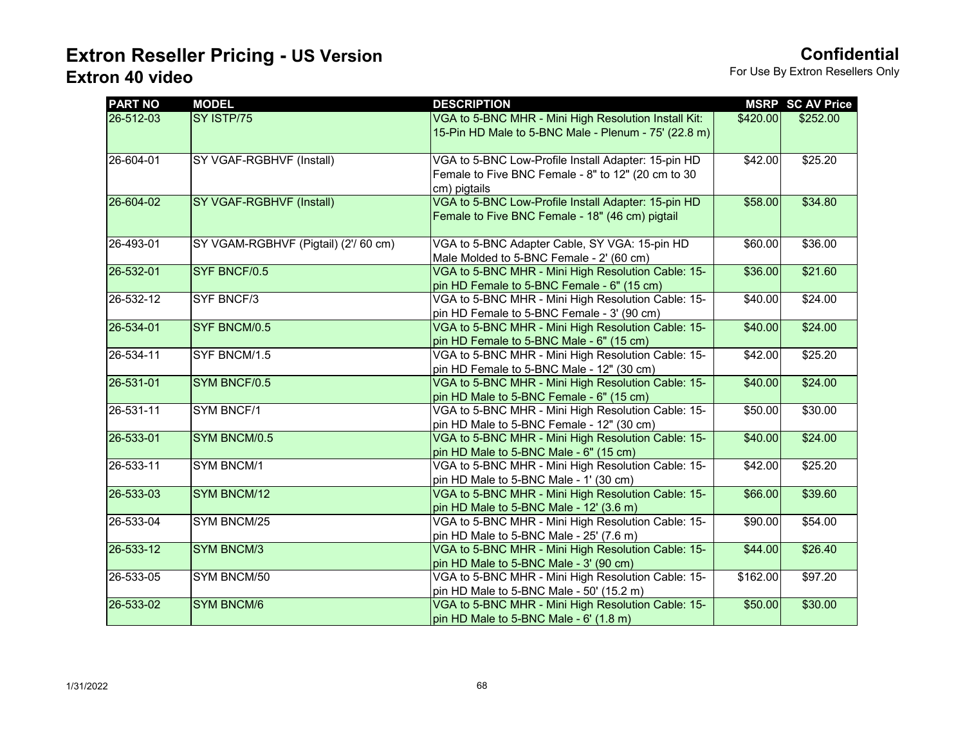| <b>PART NO</b> | <b>MODEL</b>                         | <b>DESCRIPTION</b>                                                                                                        |          | <b>MSRP SC AV Price</b> |
|----------------|--------------------------------------|---------------------------------------------------------------------------------------------------------------------------|----------|-------------------------|
| 26-512-03      | SY ISTP/75                           | VGA to 5-BNC MHR - Mini High Resolution Install Kit:<br>15-Pin HD Male to 5-BNC Male - Plenum - 75' (22.8 m)              | \$420.00 | \$252.00                |
| 26-604-01      | SY VGAF-RGBHVF (Install)             | VGA to 5-BNC Low-Profile Install Adapter: 15-pin HD<br>Female to Five BNC Female - 8" to 12" (20 cm to 30<br>cm) pigtails | \$42.00  | \$25.20                 |
| 26-604-02      | <b>SY VGAF-RGBHVF (Install)</b>      | VGA to 5-BNC Low-Profile Install Adapter: 15-pin HD<br>Female to Five BNC Female - 18" (46 cm) pigtail                    | \$58.00  | \$34.80                 |
| 26-493-01      | SY VGAM-RGBHVF (Pigtail) (2'/ 60 cm) | VGA to 5-BNC Adapter Cable, SY VGA: 15-pin HD<br>Male Molded to 5-BNC Female - 2' (60 cm)                                 | \$60.00  | \$36.00                 |
| 26-532-01      | SYF BNCF/0.5                         | VGA to 5-BNC MHR - Mini High Resolution Cable: 15-<br>pin HD Female to 5-BNC Female - 6" (15 cm)                          | \$36.00  | \$21.60                 |
| 26-532-12      | SYF BNCF/3                           | VGA to 5-BNC MHR - Mini High Resolution Cable: 15-<br>pin HD Female to 5-BNC Female - 3' (90 cm)                          | \$40.00  | \$24.00                 |
| 26-534-01      | SYF BNCM/0.5                         | VGA to 5-BNC MHR - Mini High Resolution Cable: 15-<br>pin HD Female to 5-BNC Male - 6" (15 cm)                            | \$40.00  | \$24.00                 |
| 26-534-11      | SYF BNCM/1.5                         | VGA to 5-BNC MHR - Mini High Resolution Cable: 15-<br>pin HD Female to 5-BNC Male - 12" (30 cm)                           | \$42.00  | \$25.20                 |
| 26-531-01      | SYM BNCF/0.5                         | VGA to 5-BNC MHR - Mini High Resolution Cable: 15-<br>pin HD Male to 5-BNC Female - 6" (15 cm)                            | \$40.00  | \$24.00                 |
| 26-531-11      | SYM BNCF/1                           | VGA to 5-BNC MHR - Mini High Resolution Cable: 15-<br>pin HD Male to 5-BNC Female - 12" (30 cm)                           | \$50.00  | \$30.00                 |
| 26-533-01      | SYM BNCM/0.5                         | VGA to 5-BNC MHR - Mini High Resolution Cable: 15-<br>pin HD Male to 5-BNC Male - 6" (15 cm)                              | \$40.00  | \$24.00                 |
| 26-533-11      | SYM BNCM/1                           | VGA to 5-BNC MHR - Mini High Resolution Cable: 15-<br>pin HD Male to 5-BNC Male - 1' (30 cm)                              | \$42.00  | $\overline{$}25.20$     |
| 26-533-03      | SYM BNCM/12                          | VGA to 5-BNC MHR - Mini High Resolution Cable: 15-<br>pin HD Male to 5-BNC Male - 12' (3.6 m)                             | \$66.00  | \$39.60                 |
| 26-533-04      | SYM BNCM/25                          | VGA to 5-BNC MHR - Mini High Resolution Cable: 15-<br>pin HD Male to 5-BNC Male - 25' (7.6 m)                             | \$90.00  | \$54.00                 |
| 26-533-12      | <b>SYM BNCM/3</b>                    | VGA to 5-BNC MHR - Mini High Resolution Cable: 15-<br>pin HD Male to 5-BNC Male - 3' (90 cm)                              | \$44.00  | \$26.40                 |
| 26-533-05      | SYM BNCM/50                          | VGA to 5-BNC MHR - Mini High Resolution Cable: 15-<br>pin HD Male to 5-BNC Male - 50' (15.2 m)                            | \$162.00 | \$97.20                 |
| 26-533-02      | <b>SYM BNCM/6</b>                    | VGA to 5-BNC MHR - Mini High Resolution Cable: 15-<br>pin HD Male to 5-BNC Male - 6' (1.8 m)                              | \$50.00  | \$30.00                 |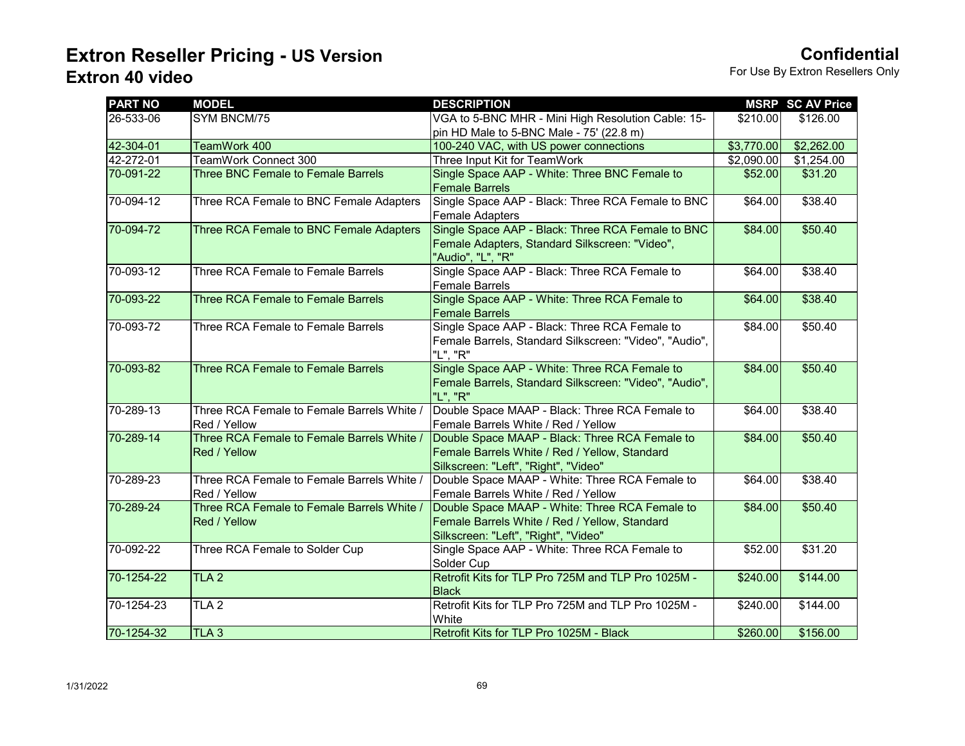| <b>PART NO</b> | <b>MODEL</b>                               | <b>DESCRIPTION</b>                                     |            | <b>MSRP SC AV Price</b> |
|----------------|--------------------------------------------|--------------------------------------------------------|------------|-------------------------|
| 26-533-06      | SYM BNCM/75                                | VGA to 5-BNC MHR - Mini High Resolution Cable: 15-     | \$210.00   | \$126.00                |
|                |                                            | pin HD Male to 5-BNC Male - 75' (22.8 m)               |            |                         |
| 42-304-01      | TeamWork 400                               | 100-240 VAC, with US power connections                 | \$3,770.00 | \$2,262.00              |
| 42-272-01      | TeamWork Connect 300                       | Three Input Kit for TeamWork                           | \$2,090.00 | \$1,254.00              |
| 70-091-22      | <b>Three BNC Female to Female Barrels</b>  | Single Space AAP - White: Three BNC Female to          | \$52.00    | \$31.20                 |
|                |                                            | <b>Female Barrels</b>                                  |            |                         |
| 70-094-12      | Three RCA Female to BNC Female Adapters    | Single Space AAP - Black: Three RCA Female to BNC      | \$64.00    | \$38.40                 |
|                |                                            | <b>Female Adapters</b>                                 |            |                         |
| 70-094-72      | Three RCA Female to BNC Female Adapters    | Single Space AAP - Black: Three RCA Female to BNC      | \$84.00    | \$50.40                 |
|                |                                            | Female Adapters, Standard Silkscreen: "Video",         |            |                         |
|                |                                            | "Audio", "L", "R"                                      |            |                         |
| 70-093-12      | Three RCA Female to Female Barrels         | Single Space AAP - Black: Three RCA Female to          | \$64.00    | \$38.40                 |
|                |                                            | <b>Female Barrels</b>                                  |            |                         |
| 70-093-22      | Three RCA Female to Female Barrels         | Single Space AAP - White: Three RCA Female to          | \$64.00    | \$38.40                 |
|                |                                            | <b>Female Barrels</b>                                  |            |                         |
| 70-093-72      | Three RCA Female to Female Barrels         | Single Space AAP - Black: Three RCA Female to          | \$84.00    | \$50.40                 |
|                |                                            | Female Barrels, Standard Silkscreen: "Video", "Audio", |            |                         |
|                |                                            | "L", "R"                                               |            |                         |
| 70-093-82      | Three RCA Female to Female Barrels         | Single Space AAP - White: Three RCA Female to          | \$84.00    | \$50.40                 |
|                |                                            | Female Barrels, Standard Silkscreen: "Video", "Audio", |            |                         |
|                |                                            | "L", "R"                                               |            |                         |
| 70-289-13      | Three RCA Female to Female Barrels White / | Double Space MAAP - Black: Three RCA Female to         | \$64.00    | \$38.40                 |
|                | Red / Yellow                               | Female Barrels White / Red / Yellow                    |            |                         |
| 70-289-14      | Three RCA Female to Female Barrels White / | Double Space MAAP - Black: Three RCA Female to         | \$84.00    | \$50.40                 |
|                | Red / Yellow                               | Female Barrels White / Red / Yellow, Standard          |            |                         |
|                |                                            | Silkscreen: "Left", "Right", "Video"                   |            |                         |
| 70-289-23      | Three RCA Female to Female Barrels White / | Double Space MAAP - White: Three RCA Female to         | \$64.00    | \$38.40                 |
|                | Red / Yellow                               | Female Barrels White / Red / Yellow                    |            |                         |
| 70-289-24      | Three RCA Female to Female Barrels White / | Double Space MAAP - White: Three RCA Female to         | \$84.00    | \$50.40                 |
|                | Red / Yellow                               | Female Barrels White / Red / Yellow, Standard          |            |                         |
|                |                                            | Silkscreen: "Left", "Right", "Video"                   |            |                         |
| 70-092-22      | Three RCA Female to Solder Cup             | Single Space AAP - White: Three RCA Female to          | \$52.00    | \$31.20                 |
|                |                                            | Solder Cup                                             |            |                         |
| 70-1254-22     | TLA2                                       | Retrofit Kits for TLP Pro 725M and TLP Pro 1025M -     | \$240.00   | \$144.00                |
|                |                                            | <b>Black</b>                                           |            |                         |
| 70-1254-23     | TLA <sub>2</sub>                           | Retrofit Kits for TLP Pro 725M and TLP Pro 1025M -     | \$240.00   | \$144.00                |
|                |                                            | White                                                  |            |                         |
| 70-1254-32     | TLA <sub>3</sub>                           | Retrofit Kits for TLP Pro 1025M - Black                | \$260.00   | \$156.00                |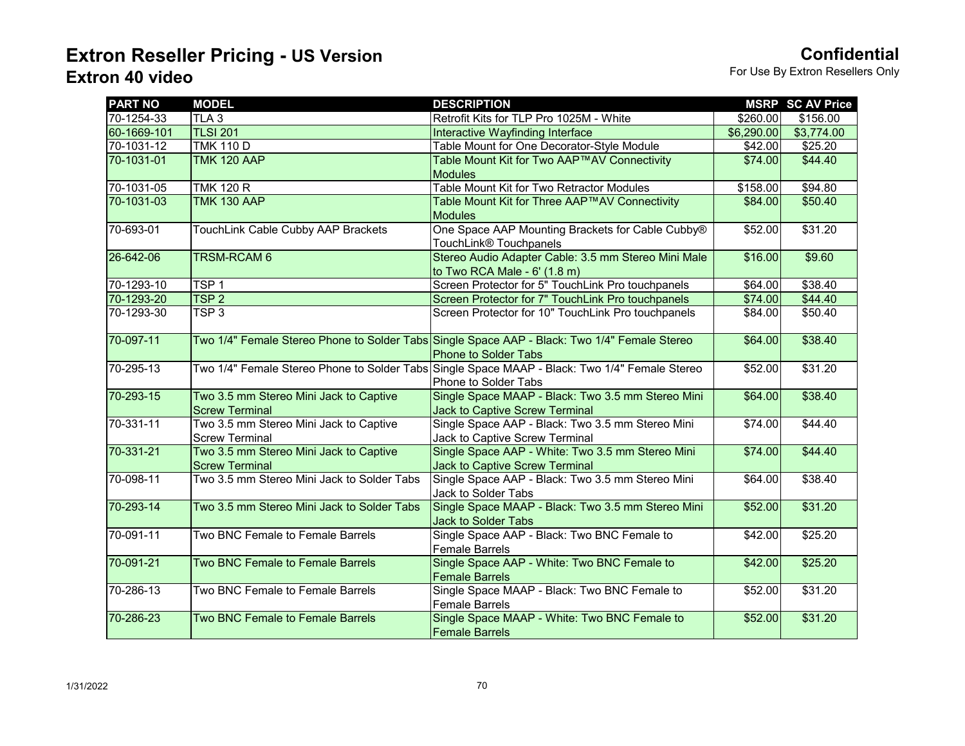| <b>PART NO</b> | <b>MODEL</b>                               | <b>DESCRIPTION</b>                                                                            |            | <b>MSRP SC AV Price</b> |
|----------------|--------------------------------------------|-----------------------------------------------------------------------------------------------|------------|-------------------------|
| 70-1254-33     | TLA <sub>3</sub>                           | Retrofit Kits for TLP Pro 1025M - White                                                       | \$260.00   | \$156.00                |
| 60-1669-101    | <b>TLSI 201</b>                            | Interactive Wayfinding Interface                                                              | \$6,290.00 | \$3,774.00              |
| 70-1031-12     | <b>TMK 110 D</b>                           | Table Mount for One Decorator-Style Module                                                    | \$42.00    | \$25.20                 |
| 70-1031-01     | <b>TMK 120 AAP</b>                         | Table Mount Kit for Two AAP™AV Connectivity                                                   | \$74.00    | \$44.40                 |
|                |                                            | <b>Modules</b>                                                                                |            |                         |
| 70-1031-05     | <b>TMK 120 R</b>                           | Table Mount Kit for Two Retractor Modules                                                     | \$158.00   | \$94.80                 |
| 70-1031-03     | <b>TMK 130 AAP</b>                         | Table Mount Kit for Three AAP™AV Connectivity                                                 | \$84.00    | \$50.40                 |
|                |                                            | <b>Modules</b>                                                                                |            |                         |
| 70-693-01      | TouchLink Cable Cubby AAP Brackets         | One Space AAP Mounting Brackets for Cable Cubby®                                              | \$52.00    | \$31.20                 |
|                |                                            | TouchLink® Touchpanels                                                                        |            |                         |
| 26-642-06      | TRSM-RCAM 6                                | Stereo Audio Adapter Cable: 3.5 mm Stereo Mini Male                                           | \$16.00    | \$9.60                  |
|                |                                            | to Two RCA Male - 6' (1.8 m)                                                                  |            |                         |
| 70-1293-10     | TSP <sub>1</sub>                           | Screen Protector for 5" TouchLink Pro touchpanels                                             | \$64.00    | \$38.40                 |
| 70-1293-20     | TSP <sub>2</sub>                           | Screen Protector for 7" TouchLink Pro touchpanels                                             | \$74.00    | \$44.40                 |
| 70-1293-30     | TSP <sub>3</sub>                           | Screen Protector for 10" TouchLink Pro touchpanels                                            | \$84.00    | \$50.40                 |
|                |                                            |                                                                                               |            |                         |
| 70-097-11      |                                            | Two 1/4" Female Stereo Phone to Solder Tabs Single Space AAP - Black: Two 1/4" Female Stereo  | \$64.00    | \$38.40                 |
|                |                                            | <b>Phone to Solder Tabs</b>                                                                   |            |                         |
| 70-295-13      |                                            | Two 1/4" Female Stereo Phone to Solder Tabs Single Space MAAP - Black: Two 1/4" Female Stereo | \$52.00    | \$31.20                 |
|                |                                            | Phone to Solder Tabs                                                                          |            |                         |
| 70-293-15      | Two 3.5 mm Stereo Mini Jack to Captive     | Single Space MAAP - Black: Two 3.5 mm Stereo Mini                                             | \$64.00    | \$38.40                 |
|                | <b>Screw Terminal</b>                      | Jack to Captive Screw Terminal                                                                |            |                         |
| 70-331-11      | Two 3.5 mm Stereo Mini Jack to Captive     | Single Space AAP - Black: Two 3.5 mm Stereo Mini                                              | \$74.00    | \$44.40                 |
|                | <b>Screw Terminal</b>                      | Jack to Captive Screw Terminal                                                                |            |                         |
| 70-331-21      | Two 3.5 mm Stereo Mini Jack to Captive     | Single Space AAP - White: Two 3.5 mm Stereo Mini                                              | \$74.00    | \$44.40                 |
|                | <b>Screw Terminal</b>                      | Jack to Captive Screw Terminal                                                                |            |                         |
| 70-098-11      | Two 3.5 mm Stereo Mini Jack to Solder Tabs | Single Space AAP - Black: Two 3.5 mm Stereo Mini                                              | \$64.00    | \$38.40                 |
|                |                                            | Jack to Solder Tabs                                                                           |            |                         |
| 70-293-14      | Two 3.5 mm Stereo Mini Jack to Solder Tabs | Single Space MAAP - Black: Two 3.5 mm Stereo Mini                                             | \$52.00    | \$31.20                 |
|                |                                            | Jack to Solder Tabs                                                                           |            |                         |
| 70-091-11      | Two BNC Female to Female Barrels           | Single Space AAP - Black: Two BNC Female to                                                   | \$42.00    | \$25.20                 |
|                |                                            | Female Barrels                                                                                |            |                         |
| 70-091-21      | Two BNC Female to Female Barrels           | Single Space AAP - White: Two BNC Female to                                                   | \$42.00    | \$25.20                 |
|                |                                            | <b>Female Barrels</b>                                                                         |            |                         |
| 70-286-13      | Two BNC Female to Female Barrels           | Single Space MAAP - Black: Two BNC Female to                                                  | \$52.00    | \$31.20                 |
|                |                                            | <b>Female Barrels</b>                                                                         |            |                         |
| 70-286-23      | Two BNC Female to Female Barrels           | Single Space MAAP - White: Two BNC Female to                                                  | \$52.00    | \$31.20                 |
|                |                                            | <b>Female Barrels</b>                                                                         |            |                         |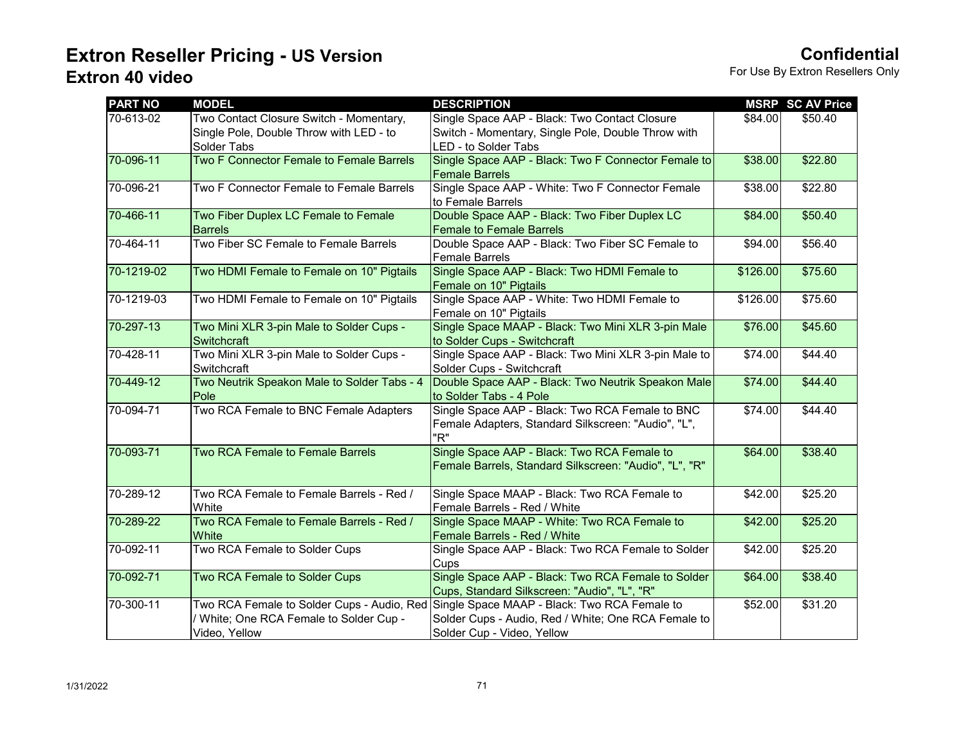| <b>PART NO</b> | <b>MODEL</b>                                                                                         | <b>DESCRIPTION</b>                                                                                                                |          | <b>MSRP SC AV Price</b> |
|----------------|------------------------------------------------------------------------------------------------------|-----------------------------------------------------------------------------------------------------------------------------------|----------|-------------------------|
| 70-613-02      | Two Contact Closure Switch - Momentary,<br>Single Pole, Double Throw with LED - to<br>Solder Tabs    | Single Space AAP - Black: Two Contact Closure<br>Switch - Momentary, Single Pole, Double Throw with<br>LED - to Solder Tabs       | \$84.00  | \$50.40                 |
| 70-096-11      | Two F Connector Female to Female Barrels                                                             | Single Space AAP - Black: Two F Connector Female to<br><b>Female Barrels</b>                                                      | \$38.00  | \$22.80                 |
| 70-096-21      | Two F Connector Female to Female Barrels                                                             | Single Space AAP - White: Two F Connector Female<br>to Female Barrels                                                             | \$38.00  | \$22.80                 |
| 70-466-11      | Two Fiber Duplex LC Female to Female<br><b>Barrels</b>                                               | Double Space AAP - Black: Two Fiber Duplex LC<br><b>Female to Female Barrels</b>                                                  | \$84.00  | \$50.40                 |
| 70-464-11      | Two Fiber SC Female to Female Barrels                                                                | Double Space AAP - Black: Two Fiber SC Female to<br>Female Barrels                                                                | \$94.00  | \$56.40                 |
| 70-1219-02     | Two HDMI Female to Female on 10" Pigtails                                                            | Single Space AAP - Black: Two HDMI Female to<br>Female on 10" Pigtails                                                            | \$126.00 | \$75.60                 |
| 70-1219-03     | Two HDMI Female to Female on 10" Pigtails                                                            | Single Space AAP - White: Two HDMI Female to<br>Female on 10" Pigtails                                                            | \$126.00 | \$75.60                 |
| 70-297-13      | Two Mini XLR 3-pin Male to Solder Cups -<br>Switchcraft                                              | Single Space MAAP - Black: Two Mini XLR 3-pin Male<br>to Solder Cups - Switchcraft                                                | \$76.00  | \$45.60                 |
| 70-428-11      | Two Mini XLR 3-pin Male to Solder Cups -<br>Switchcraft                                              | Single Space AAP - Black: Two Mini XLR 3-pin Male to<br>Solder Cups - Switchcraft                                                 | \$74.00  | \$44.40                 |
| 70-449-12      | Two Neutrik Speakon Male to Solder Tabs - 4<br>Pole                                                  | Double Space AAP - Black: Two Neutrik Speakon Male<br>to Solder Tabs - 4 Pole                                                     | \$74.00  | \$44.40                 |
| 70-094-71      | Two RCA Female to BNC Female Adapters                                                                | Single Space AAP - Black: Two RCA Female to BNC<br>Female Adapters, Standard Silkscreen: "Audio", "L",<br>"R"                     | \$74.00  | \$44.40                 |
| 70-093-71      | Two RCA Female to Female Barrels                                                                     | Single Space AAP - Black: Two RCA Female to<br>Female Barrels, Standard Silkscreen: "Audio", "L", "R"                             | \$64.00  | \$38.40                 |
| 70-289-12      | Two RCA Female to Female Barrels - Red /<br>White                                                    | Single Space MAAP - Black: Two RCA Female to<br>Female Barrels - Red / White                                                      | \$42.00  | \$25.20                 |
| 70-289-22      | Two RCA Female to Female Barrels - Red /<br>White                                                    | Single Space MAAP - White: Two RCA Female to<br>Female Barrels - Red / White                                                      | \$42.00  | \$25.20                 |
| 70-092-11      | Two RCA Female to Solder Cups                                                                        | Single Space AAP - Black: Two RCA Female to Solder<br>Cups                                                                        | \$42.00  | \$25.20                 |
| 70-092-71      | Two RCA Female to Solder Cups                                                                        | Single Space AAP - Black: Two RCA Female to Solder<br>Cups, Standard Silkscreen: "Audio", "L", "R"                                | \$64.00  | \$38.40                 |
| 70-300-11      | Two RCA Female to Solder Cups - Audio, Red<br>White; One RCA Female to Solder Cup -<br>Video, Yellow | Single Space MAAP - Black: Two RCA Female to<br>Solder Cups - Audio, Red / White; One RCA Female to<br>Solder Cup - Video, Yellow | \$52.00  | \$31.20                 |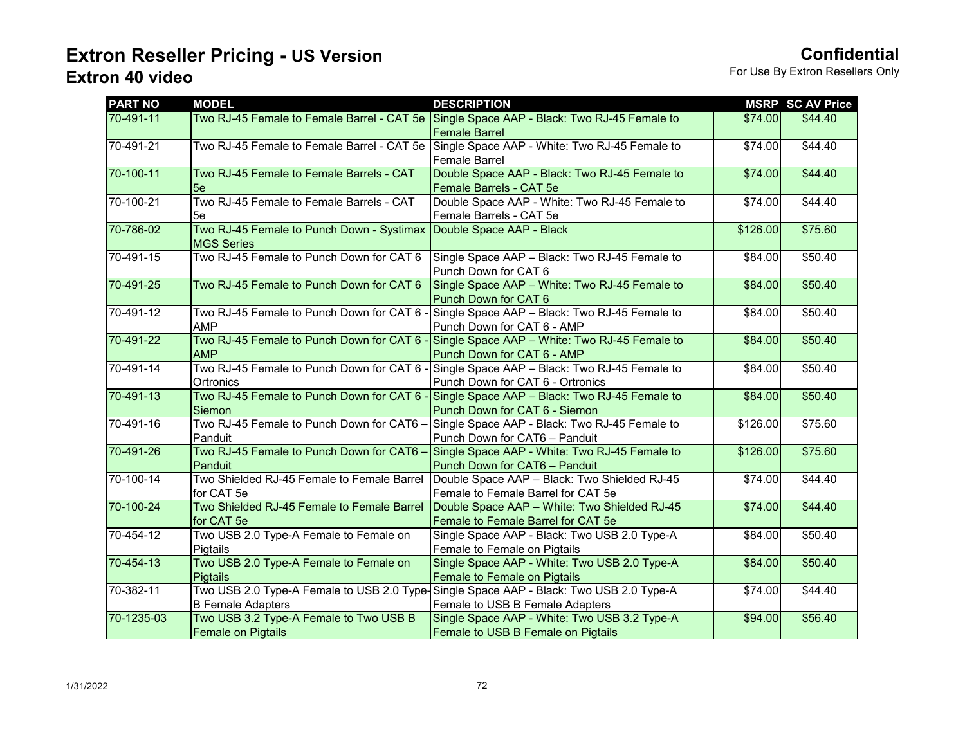| <b>PART NO</b> | <b>MODEL</b>                               | <b>DESCRIPTION</b>                                                                       |          | <b>MSRP SC AV Price</b> |
|----------------|--------------------------------------------|------------------------------------------------------------------------------------------|----------|-------------------------|
| 70-491-11      |                                            | Two RJ-45 Female to Female Barrel - CAT 5e Single Space AAP - Black: Two RJ-45 Female to | \$74.00  | \$44.40                 |
|                |                                            | <b>Female Barrel</b>                                                                     |          |                         |
| 70-491-21      |                                            | Two RJ-45 Female to Female Barrel - CAT 5e Single Space AAP - White: Two RJ-45 Female to | \$74.00  | \$44.40                 |
|                |                                            | Female Barrel                                                                            |          |                         |
| 70-100-11      | Two RJ-45 Female to Female Barrels - CAT   | Double Space AAP - Black: Two RJ-45 Female to                                            | \$74.00  | \$44.40                 |
|                | 5e                                         | Female Barrels - CAT 5e                                                                  |          |                         |
| 70-100-21      | Two RJ-45 Female to Female Barrels - CAT   | Double Space AAP - White: Two RJ-45 Female to                                            | \$74.00  | \$44.40                 |
|                | 5e                                         | Female Barrels - CAT 5e                                                                  |          |                         |
| 70-786-02      | Two RJ-45 Female to Punch Down - Systimax  | Double Space AAP - Black                                                                 | \$126.00 | \$75.60                 |
|                | <b>MGS Series</b>                          |                                                                                          |          |                         |
| 70-491-15      | Two RJ-45 Female to Punch Down for CAT 6   | Single Space AAP - Black: Two RJ-45 Female to                                            | \$84.00  | \$50.40                 |
|                |                                            | Punch Down for CAT 6                                                                     |          |                         |
| 70-491-25      | Two RJ-45 Female to Punch Down for CAT 6   | Single Space AAP - White: Two RJ-45 Female to                                            | \$84.00  | \$50.40                 |
|                |                                            | Punch Down for CAT 6                                                                     |          |                         |
| 70-491-12      | Two RJ-45 Female to Punch Down for CAT 6 - | Single Space AAP - Black: Two RJ-45 Female to                                            | \$84.00  | \$50.40                 |
|                | <b>AMP</b>                                 | Punch Down for CAT 6 - AMP                                                               |          |                         |
| 70-491-22      | Two RJ-45 Female to Punch Down for CAT 6 - | Single Space AAP - White: Two RJ-45 Female to                                            | \$84.00  | \$50.40                 |
|                | <b>AMP</b>                                 | Punch Down for CAT 6 - AMP                                                               |          |                         |
| 70-491-14      | Two RJ-45 Female to Punch Down for CAT 6 - | Single Space AAP - Black: Two RJ-45 Female to                                            | \$84.00  | \$50.40                 |
|                | Ortronics                                  | Punch Down for CAT 6 - Ortronics                                                         |          |                         |
| 70-491-13      | Two RJ-45 Female to Punch Down for CAT 6 - | Single Space AAP - Black: Two RJ-45 Female to                                            | \$84.00  | \$50.40                 |
|                | Siemon                                     | Punch Down for CAT 6 - Siemon                                                            |          |                         |
| 70-491-16      | Two RJ-45 Female to Punch Down for CAT6 -  | Single Space AAP - Black: Two RJ-45 Female to                                            | \$126.00 | \$75.60                 |
|                | Panduit                                    | Punch Down for CAT6 - Panduit                                                            |          |                         |
| 70-491-26      | Two RJ-45 Female to Punch Down for CAT6 -  | Single Space AAP - White: Two RJ-45 Female to                                            | \$126.00 | \$75.60                 |
|                | Panduit                                    | Punch Down for CAT6 - Panduit                                                            |          |                         |
| 70-100-14      | Two Shielded RJ-45 Female to Female Barrel | Double Space AAP - Black: Two Shielded RJ-45                                             | \$74.00  | \$44.40                 |
|                | for CAT 5e                                 | Female to Female Barrel for CAT 5e                                                       |          |                         |
| 70-100-24      | Two Shielded RJ-45 Female to Female Barrel | Double Space AAP - White: Two Shielded RJ-45                                             | \$74.00  | \$44.40                 |
|                | for CAT 5e                                 | Female to Female Barrel for CAT 5e                                                       |          |                         |
| 70-454-12      | Two USB 2.0 Type-A Female to Female on     | Single Space AAP - Black: Two USB 2.0 Type-A                                             | \$84.00  | \$50.40                 |
|                | Pigtails                                   | Female to Female on Pigtails                                                             |          |                         |
| 70-454-13      | Two USB 2.0 Type-A Female to Female on     | Single Space AAP - White: Two USB 2.0 Type-A                                             | \$84.00  | \$50.40                 |
|                | <b>Pigtails</b>                            | Female to Female on Pigtails                                                             |          |                         |
| 70-382-11      | Two USB 2.0 Type-A Female to USB 2.0 Type- | Single Space AAP - Black: Two USB 2.0 Type-A                                             | \$74.00  | \$44.40                 |
|                | <b>B Female Adapters</b>                   | Female to USB B Female Adapters                                                          |          |                         |
| 70-1235-03     | Two USB 3.2 Type-A Female to Two USB B     | Single Space AAP - White: Two USB 3.2 Type-A                                             | \$94.00  | \$56.40                 |
|                | <b>Female on Pigtails</b>                  | Female to USB B Female on Pigtails                                                       |          |                         |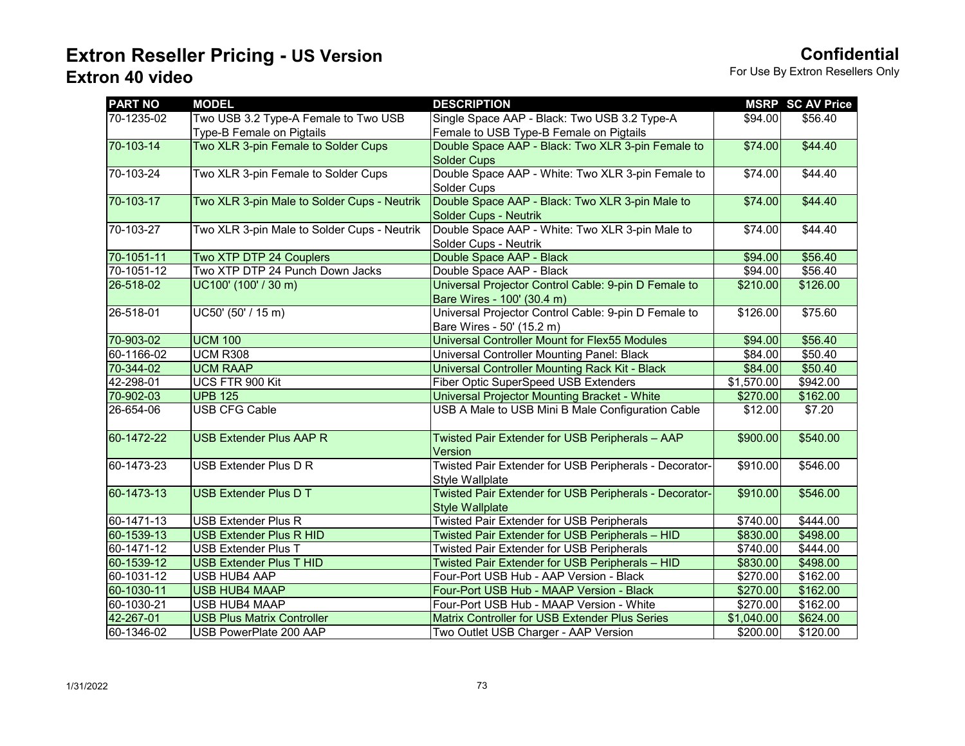| <b>PART NO</b> | <b>MODEL</b>                                | <b>DESCRIPTION</b>                                                         |            | <b>MSRP SC AV Price</b> |
|----------------|---------------------------------------------|----------------------------------------------------------------------------|------------|-------------------------|
| 70-1235-02     | Two USB 3.2 Type-A Female to Two USB        | Single Space AAP - Black: Two USB 3.2 Type-A                               | \$94.00    | \$56.40                 |
|                | Type-B Female on Pigtails                   | Female to USB Type-B Female on Pigtails                                    |            |                         |
| 70-103-14      | Two XLR 3-pin Female to Solder Cups         | Double Space AAP - Black: Two XLR 3-pin Female to                          | \$74.00    | \$44.40                 |
|                |                                             | <b>Solder Cups</b>                                                         |            |                         |
| 70-103-24      | Two XLR 3-pin Female to Solder Cups         | Double Space AAP - White: Two XLR 3-pin Female to                          | \$74.00    | \$44.40                 |
|                |                                             | Solder Cups                                                                |            |                         |
| 70-103-17      | Two XLR 3-pin Male to Solder Cups - Neutrik | Double Space AAP - Black: Two XLR 3-pin Male to                            | \$74.00    | \$44.40                 |
|                |                                             | <b>Solder Cups - Neutrik</b>                                               |            |                         |
| 70-103-27      | Two XLR 3-pin Male to Solder Cups - Neutrik | Double Space AAP - White: Two XLR 3-pin Male to                            | \$74.00    | \$44.40                 |
|                |                                             | Solder Cups - Neutrik                                                      |            |                         |
| 70-1051-11     | Two XTP DTP 24 Couplers                     | Double Space AAP - Black                                                   | \$94.00    | \$56.40                 |
| 70-1051-12     | Two XTP DTP 24 Punch Down Jacks             | Double Space AAP - Black                                                   | \$94.00    | \$56.40                 |
| 26-518-02      | UC100' (100' / 30 m)                        | Universal Projector Control Cable: 9-pin D Female to                       | \$210.00   | \$126.00                |
|                |                                             | Bare Wires - 100' (30.4 m)                                                 |            |                         |
| 26-518-01      | UC50' (50' / 15 m)                          | Universal Projector Control Cable: 9-pin D Female to                       | \$126.00   | \$75.60                 |
|                |                                             | Bare Wires - 50' (15.2 m)                                                  |            |                         |
| 70-903-02      | <b>UCM 100</b>                              | Universal Controller Mount for Flex55 Modules                              | \$94.00    | \$56.40                 |
| 60-1166-02     | <b>UCM R308</b>                             | Universal Controller Mounting Panel: Black                                 | \$84.00    | \$50.40                 |
| 70-344-02      | <b>UCM RAAP</b>                             | Universal Controller Mounting Rack Kit - Black                             | \$84.00    | \$50.40                 |
| 42-298-01      | UCS FTR 900 Kit                             | Fiber Optic SuperSpeed USB Extenders                                       | \$1,570.00 | \$942.00                |
| 70-902-03      | <b>UPB 125</b>                              | Universal Projector Mounting Bracket - White                               | \$270.00   | \$162.00                |
| 26-654-06      | <b>USB CFG Cable</b>                        | USB A Male to USB Mini B Male Configuration Cable                          | \$12.00    | \$7.20                  |
| 60-1472-22     | <b>USB Extender Plus AAP R</b>              | Twisted Pair Extender for USB Peripherals - AAP                            | \$900.00   | \$540.00                |
|                |                                             | Version                                                                    |            |                         |
| 60-1473-23     | USB Extender Plus D R                       | Twisted Pair Extender for USB Peripherals - Decorator-                     | \$910.00   | \$546.00                |
|                |                                             | Style Wallplate                                                            |            |                         |
| 60-1473-13     | <b>USB Extender Plus D T</b>                | Twisted Pair Extender for USB Peripherals - Decorator-                     | \$910.00   | \$546.00                |
| 60-1471-13     | <b>USB Extender Plus R</b>                  | <b>Style Wallplate</b><br><b>Twisted Pair Extender for USB Peripherals</b> | \$740.00   | \$444.00                |
| 60-1539-13     | <b>USB Extender Plus R HID</b>              | Twisted Pair Extender for USB Peripherals - HID                            | \$830.00   | \$498.00                |
| 60-1471-12     | <b>USB Extender Plus T</b>                  | <b>Twisted Pair Extender for USB Peripherals</b>                           | \$740.00   | \$444.00                |
| 60-1539-12     | <b>USB Extender Plus T HID</b>              | Twisted Pair Extender for USB Peripherals - HID                            | \$830.00   | \$498.00                |
| 60-1031-12     | USB HUB4 AAP                                | Four-Port USB Hub - AAP Version - Black                                    | \$270.00   | \$162.00                |
| 60-1030-11     | <b>USB HUB4 MAAP</b>                        | Four-Port USB Hub - MAAP Version - Black                                   | \$270.00   | \$162.00                |
| 60-1030-21     | USB HUB4 MAAP                               | Four-Port USB Hub - MAAP Version - White                                   | \$270.00   | \$162.00                |
| 42-267-01      | <b>USB Plus Matrix Controller</b>           | Matrix Controller for USB Extender Plus Series                             | \$1,040.00 | \$624.00                |
| 60-1346-02     | USB PowerPlate 200 AAP                      | Two Outlet USB Charger - AAP Version                                       | \$200.00   | \$120.00                |
|                |                                             |                                                                            |            |                         |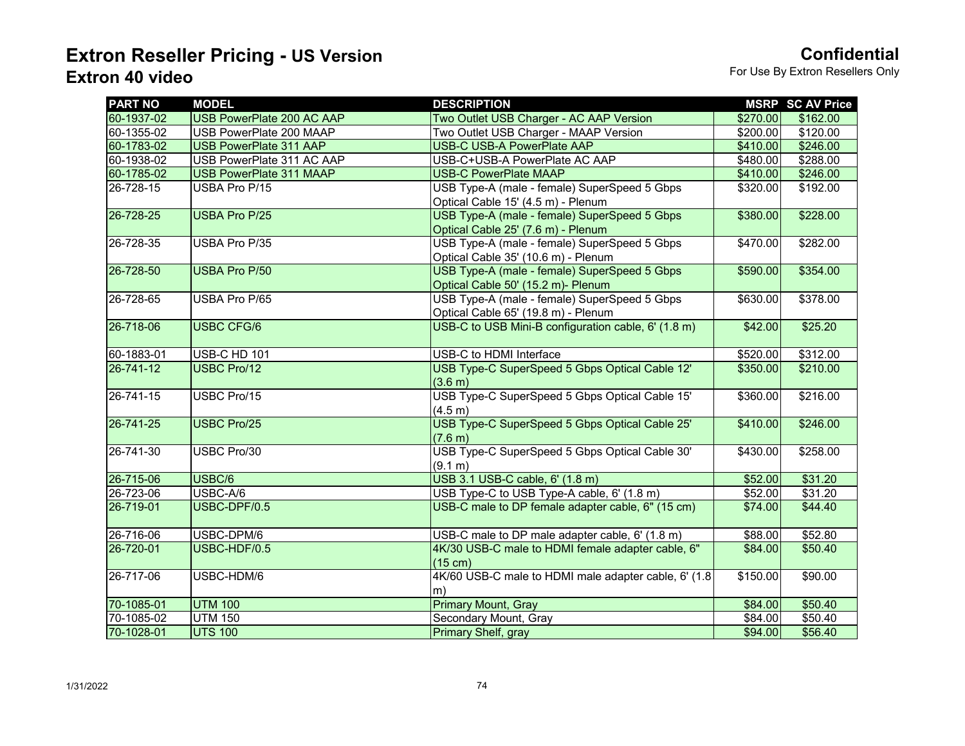| <b>PART NO</b>  | <b>MODEL</b>              | <b>DESCRIPTION</b>                                    |                      | <b>MSRP SC AV Price</b> |
|-----------------|---------------------------|-------------------------------------------------------|----------------------|-------------------------|
| 60-1937-02      | USB PowerPlate 200 AC AAP | Two Outlet USB Charger - AC AAP Version               | \$270.00             | \$162.00                |
| 60-1355-02      | USB PowerPlate 200 MAAP   | Two Outlet USB Charger - MAAP Version                 | \$200.00             | \$120.00                |
| 60-1783-02      | USB PowerPlate 311 AAP    | <b>USB-C USB-A PowerPlate AAP</b>                     | \$410.00             | \$246.00                |
| 60-1938-02      | USB PowerPlate 311 AC AAP | USB-C+USB-A PowerPlate AC AAP                         | \$480.00             | \$288.00                |
| 60-1785-02      | USB PowerPlate 311 MAAP   | <b>USB-C PowerPlate MAAP</b>                          | \$410.00             | \$246.00                |
| 26-728-15       | USBA Pro P/15             | USB Type-A (male - female) SuperSpeed 5 Gbps          | \$320.00             | \$192.00                |
|                 |                           | Optical Cable 15' (4.5 m) - Plenum                    |                      |                         |
| 26-728-25       | <b>USBA Pro P/25</b>      | USB Type-A (male - female) SuperSpeed 5 Gbps          | \$380.00             | \$228.00                |
|                 |                           | Optical Cable 25' (7.6 m) - Plenum                    |                      |                         |
| 26-728-35       | USBA Pro P/35             | USB Type-A (male - female) SuperSpeed 5 Gbps          | \$470.00             | \$282.00                |
|                 |                           | Optical Cable 35' (10.6 m) - Plenum                   |                      |                         |
| 26-728-50       | <b>USBA Pro P/50</b>      | USB Type-A (male - female) SuperSpeed 5 Gbps          | \$590.00             | \$354.00                |
|                 |                           | Optical Cable 50' (15.2 m)- Plenum                    |                      |                         |
| 26-728-65       | USBA Pro P/65             | USB Type-A (male - female) SuperSpeed 5 Gbps          | $\overline{$}630.00$ | \$378.00                |
|                 |                           | Optical Cable 65' (19.8 m) - Plenum                   |                      |                         |
| 26-718-06       | <b>USBC CFG/6</b>         | USB-C to USB Mini-B configuration cable, 6' (1.8 m)   | \$42.00              | \$25.20                 |
|                 |                           |                                                       |                      |                         |
| 60-1883-01      | <b>USB-C HD 101</b>       | USB-C to HDMI Interface                               | \$520.00             | \$312.00                |
| $26 - 741 - 12$ | <b>USBC Pro/12</b>        | USB Type-C SuperSpeed 5 Gbps Optical Cable 12'        | \$350.00             | \$210.00                |
|                 |                           | (3.6 m)                                               |                      |                         |
| 26-741-15       | USBC Pro/15               | USB Type-C SuperSpeed 5 Gbps Optical Cable 15'        | \$360.00             | \$216.00                |
|                 |                           | (4.5 m)                                               |                      |                         |
| 26-741-25       | <b>USBC Pro/25</b>        | USB Type-C SuperSpeed 5 Gbps Optical Cable 25'        | \$410.00             | \$246.00                |
|                 |                           | (7.6 m)                                               |                      |                         |
| 26-741-30       | USBC Pro/30               | USB Type-C SuperSpeed 5 Gbps Optical Cable 30'        | \$430.00             | \$258.00                |
|                 |                           | (9.1 m)                                               |                      |                         |
| 26-715-06       | USBC/6                    | USB 3.1 USB-C cable, 6' (1.8 m)                       | \$52.00              | \$31.20                 |
| 26-723-06       | USBC-A/6                  | USB Type-C to USB Type-A cable, 6' (1.8 m)            | \$52.00              | \$31.20                 |
| 26-719-01       | USBC-DPF/0.5              | USB-C male to DP female adapter cable, 6" (15 cm)     | \$74.00              | \$44.40                 |
|                 |                           |                                                       |                      |                         |
| 26-716-06       | USBC-DPM/6                | USB-C male to DP male adapter cable, 6' (1.8 m)       | \$88.00              | \$52.80                 |
| 26-720-01       | USBC-HDF/0.5              | 4K/30 USB-C male to HDMI female adapter cable, 6"     | \$84.00              | \$50.40                 |
|                 |                           | (15 cm)                                               |                      |                         |
| 26-717-06       | USBC-HDM/6                | 4K/60 USB-C male to HDMI male adapter cable, 6' (1.8) | \$150.00             | \$90.00                 |
|                 |                           | m)                                                    |                      |                         |
| 70-1085-01      | <b>UTM 100</b>            | <b>Primary Mount, Gray</b>                            | \$84.00              | \$50.40                 |
| 70-1085-02      | <b>UTM 150</b>            | Secondary Mount, Gray                                 | \$84.00              | \$50.40                 |
| 70-1028-01      | <b>UTS 100</b>            | Primary Shelf, gray                                   | \$94.00              | \$56.40                 |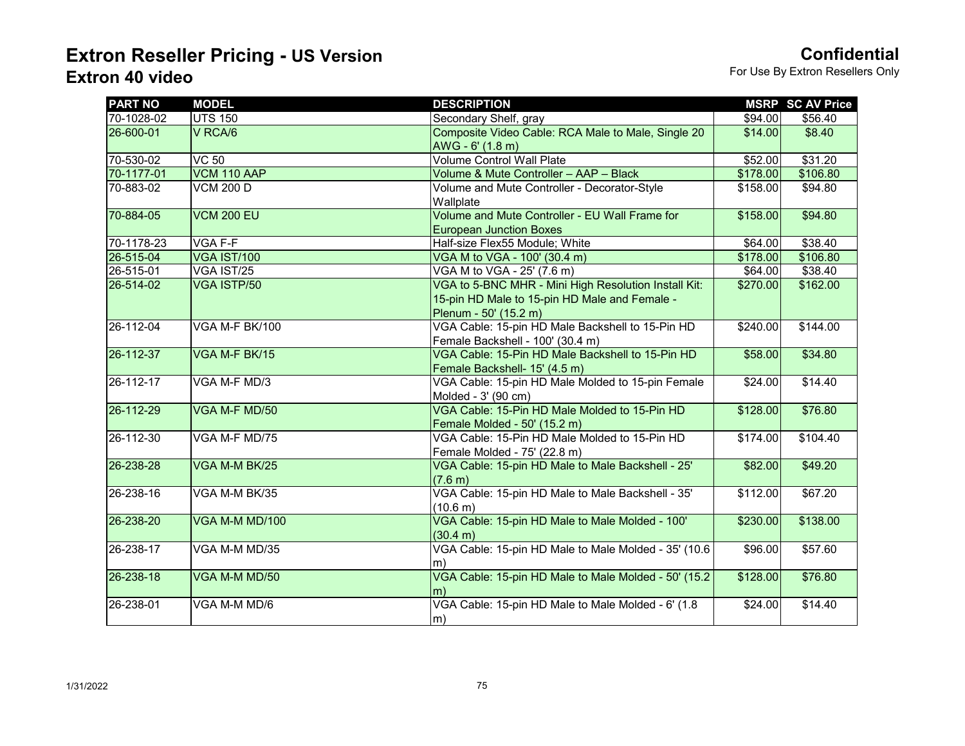| <b>PART NO</b>  | <b>MODEL</b>       | <b>DESCRIPTION</b>                                    |          | <b>MSRP SC AV Price</b> |
|-----------------|--------------------|-------------------------------------------------------|----------|-------------------------|
| 70-1028-02      | <b>UTS 150</b>     | Secondary Shelf, gray                                 | \$94.00  | \$56.40                 |
| 26-600-01       | V RCA/6            | Composite Video Cable: RCA Male to Male, Single 20    | \$14.00  | \$8.40                  |
|                 |                    | AWG - 6' (1.8 m)                                      |          |                         |
| 70-530-02       | $VC$ 50            | <b>Volume Control Wall Plate</b>                      | \$52.00  | \$31.20                 |
| 70-1177-01      | VCM 110 AAP        | Volume & Mute Controller - AAP - Black                | \$178.00 | \$106.80                |
| 70-883-02       | <b>VCM 200 D</b>   | Volume and Mute Controller - Decorator-Style          | \$158.00 | \$94.80                 |
|                 |                    | Wallplate                                             |          |                         |
| 70-884-05       | <b>VCM 200 EU</b>  | Volume and Mute Controller - EU Wall Frame for        | \$158.00 | \$94.80                 |
|                 |                    | <b>European Junction Boxes</b>                        |          |                         |
| 70-1178-23      | VGA F-F            | Half-size Flex55 Module; White                        | \$64.00  | \$38.40                 |
| 26-515-04       | <b>VGA IST/100</b> | VGA M to VGA - 100' (30.4 m)                          | \$178.00 | \$106.80                |
| 26-515-01       | VGA IST/25         | VGA M to VGA - 25' (7.6 m)                            | \$64.00  | \$38.40                 |
| 26-514-02       | <b>VGA ISTP/50</b> | VGA to 5-BNC MHR - Mini High Resolution Install Kit:  | \$270.00 | \$162.00                |
|                 |                    | 15-pin HD Male to 15-pin HD Male and Female -         |          |                         |
|                 |                    | Plenum - 50' (15.2 m)                                 |          |                         |
| 26-112-04       | VGA M-F BK/100     | VGA Cable: 15-pin HD Male Backshell to 15-Pin HD      | \$240.00 | \$144.00                |
|                 |                    | Female Backshell - 100' (30.4 m)                      |          |                         |
| 26-112-37       | VGA M-F BK/15      | VGA Cable: 15-Pin HD Male Backshell to 15-Pin HD      | \$58.00  | \$34.80                 |
|                 |                    | Female Backshell- 15' (4.5 m)                         |          |                         |
| $26 - 112 - 17$ | VGA M-F MD/3       | VGA Cable: 15-pin HD Male Molded to 15-pin Female     | \$24.00  | \$14.40                 |
|                 |                    | Molded - 3' (90 cm)                                   |          |                         |
| 26-112-29       | VGA M-F MD/50      | VGA Cable: 15-Pin HD Male Molded to 15-Pin HD         | \$128.00 | \$76.80                 |
|                 |                    | Female Molded - 50' (15.2 m)                          |          |                         |
| 26-112-30       | VGA M-F MD/75      | VGA Cable: 15-Pin HD Male Molded to 15-Pin HD         | \$174.00 | \$104.40                |
|                 |                    | Female Molded - 75' (22.8 m)                          |          |                         |
| 26-238-28       | VGA M-M BK/25      | VGA Cable: 15-pin HD Male to Male Backshell - 25'     | \$82.00  | \$49.20                 |
|                 |                    | (7.6 m)                                               |          |                         |
| 26-238-16       | VGA M-M BK/35      | VGA Cable: 15-pin HD Male to Male Backshell - 35'     | \$112.00 | \$67.20                 |
|                 |                    | (10.6 m)                                              |          |                         |
| 26-238-20       | VGA M-M MD/100     | VGA Cable: 15-pin HD Male to Male Molded - 100'       | \$230.00 | \$138.00                |
|                 |                    | (30.4 m)                                              |          |                         |
| 26-238-17       | VGA M-M MD/35      | VGA Cable: 15-pin HD Male to Male Molded - 35' (10.6) | \$96.00  | \$57.60                 |
|                 |                    | m)                                                    |          |                         |
| 26-238-18       | VGA M-M MD/50      | VGA Cable: 15-pin HD Male to Male Molded - 50' (15.2) | \$128.00 | \$76.80                 |
|                 |                    | m)                                                    |          |                         |
| 26-238-01       | VGA M-M MD/6       | VGA Cable: 15-pin HD Male to Male Molded - 6' (1.8)   | \$24.00  | \$14.40                 |
|                 |                    | (m)                                                   |          |                         |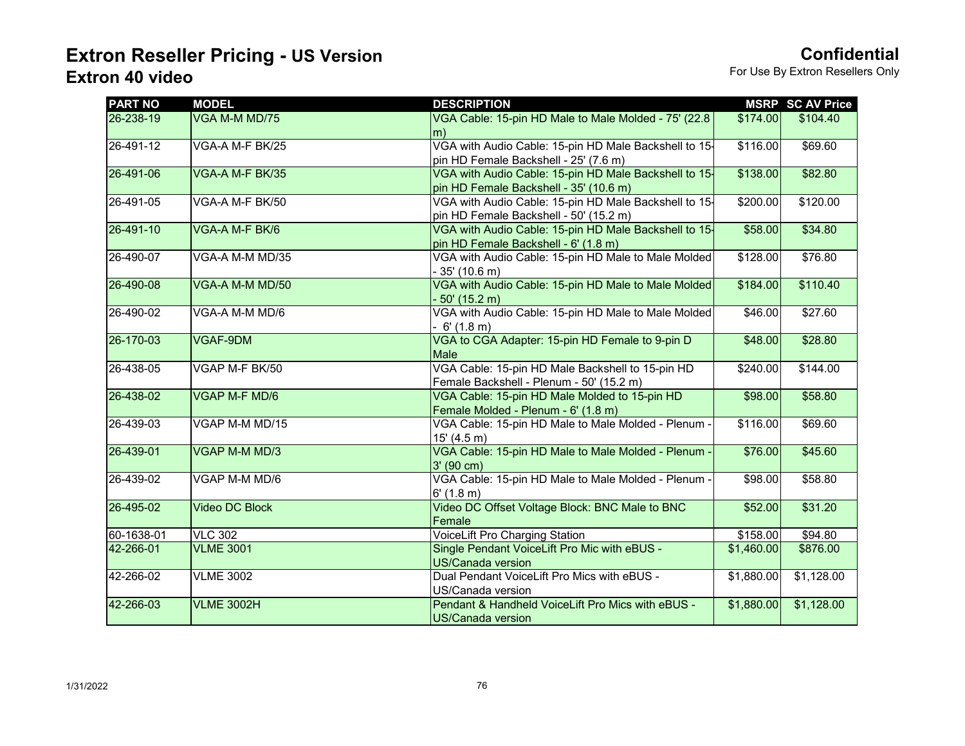| <b>PART NO</b> | <b>MODEL</b>          | <b>DESCRIPTION</b>                                                                              |            | <b>MSRP SC AV Price</b> |
|----------------|-----------------------|-------------------------------------------------------------------------------------------------|------------|-------------------------|
| 26-238-19      | VGA M-M MD/75         | VGA Cable: 15-pin HD Male to Male Molded - 75' (22.8)<br>m)                                     | \$174.00   | \$104.40                |
| 26-491-12      | VGA-A M-F BK/25       | VGA with Audio Cable: 15-pin HD Male Backshell to 15-<br>pin HD Female Backshell - 25' (7.6 m)  | \$116.00   | \$69.60                 |
| 26-491-06      | VGA-A M-F BK/35       | VGA with Audio Cable: 15-pin HD Male Backshell to 15-<br>pin HD Female Backshell - 35' (10.6 m) | \$138.00   | \$82.80                 |
| 26-491-05      | VGA-A M-F BK/50       | VGA with Audio Cable: 15-pin HD Male Backshell to 15-<br>pin HD Female Backshell - 50' (15.2 m) | \$200.00   | \$120.00                |
| 26-491-10      | VGA-A M-F BK/6        | VGA with Audio Cable: 15-pin HD Male Backshell to 15-<br>pin HD Female Backshell - 6' (1.8 m)   | \$58.00    | \$34.80                 |
| 26-490-07      | VGA-A M-M MD/35       | VGA with Audio Cable: 15-pin HD Male to Male Molded<br>$-35'(10.6 m)$                           | \$128.00   | \$76.80                 |
| 26-490-08      | VGA-A M-M MD/50       | VGA with Audio Cable: 15-pin HD Male to Male Molded<br>$-50'$ (15.2 m)                          | \$184.00   | \$110.40                |
| 26-490-02      | VGA-A M-M MD/6        | VGA with Audio Cable: 15-pin HD Male to Male Molded<br>$-6'(1.8 \text{ m})$                     | \$46.00    | \$27.60                 |
| 26-170-03      | VGAF-9DM              | VGA to CGA Adapter: 15-pin HD Female to 9-pin D<br>Male                                         | \$48.00    | \$28.80                 |
| 26-438-05      | VGAP M-F BK/50        | VGA Cable: 15-pin HD Male Backshell to 15-pin HD<br>Female Backshell - Plenum - 50' (15.2 m)    | \$240.00   | \$144.00                |
| 26-438-02      | VGAP M-F MD/6         | VGA Cable: 15-pin HD Male Molded to 15-pin HD<br>Female Molded - Plenum - 6' (1.8 m)            | \$98.00    | \$58.80                 |
| 26-439-03      | VGAP M-M MD/15        | VGA Cable: 15-pin HD Male to Male Molded - Plenum -<br>15' (4.5 m)                              | \$116.00   | \$69.60                 |
| 26-439-01      | VGAP M-M MD/3         | VGA Cable: 15-pin HD Male to Male Molded - Plenum -<br>$3'$ (90 cm)                             | \$76.00    | \$45.60                 |
| 26-439-02      | VGAP M-M MD/6         | VGA Cable: 15-pin HD Male to Male Molded - Plenum -<br>$6'$ (1.8 m)                             | \$98.00    | \$58.80                 |
| 26-495-02      | <b>Video DC Block</b> | Video DC Offset Voltage Block: BNC Male to BNC<br>Female                                        | \$52.00    | \$31.20                 |
| 60-1638-01     | <b>VLC 302</b>        | VoiceLift Pro Charging Station                                                                  | \$158.00   | \$94.80                 |
| 42-266-01      | <b>VLME 3001</b>      | Single Pendant VoiceLift Pro Mic with eBUS -<br><b>US/Canada version</b>                        | \$1,460.00 | \$876.00                |
| 42-266-02      | <b>VLME 3002</b>      | Dual Pendant VoiceLift Pro Mics with eBUS -<br>US/Canada version                                | \$1,880.00 | \$1,128.00              |
| 42-266-03      | <b>VLME 3002H</b>     | Pendant & Handheld VoiceLift Pro Mics with eBUS -<br><b>US/Canada version</b>                   | \$1,880.00 | \$1,128.00              |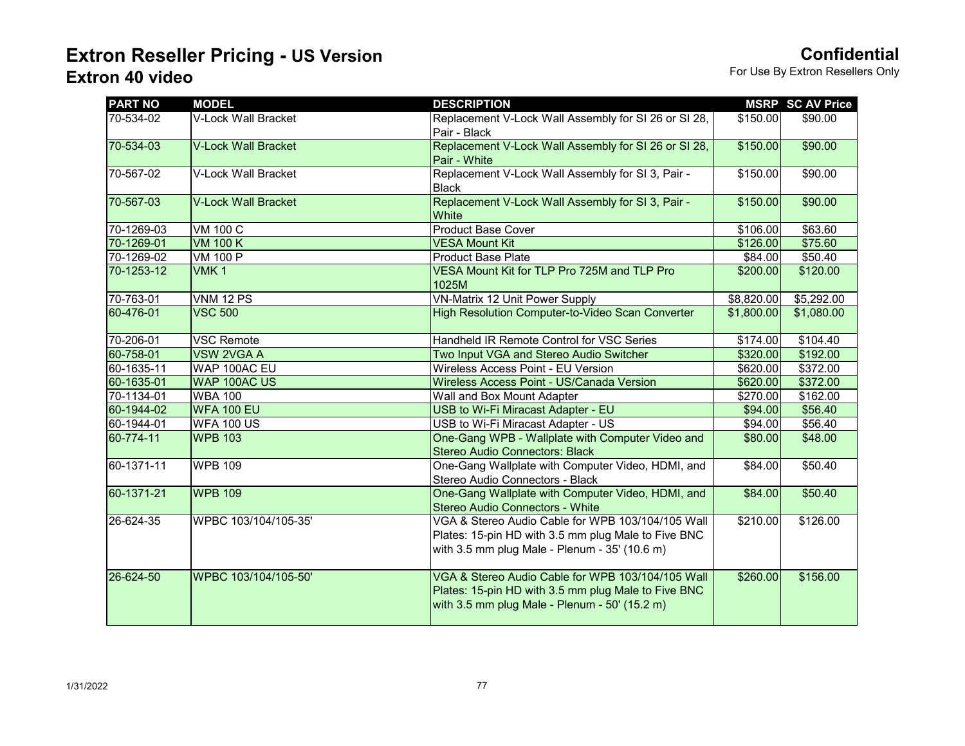| <b>PART NO</b> | <b>MODEL</b>               | <b>DESCRIPTION</b>                                                                                                                                        |            | <b>MSRP SC AV Price</b> |
|----------------|----------------------------|-----------------------------------------------------------------------------------------------------------------------------------------------------------|------------|-------------------------|
| 70-534-02      | V-Lock Wall Bracket        | Replacement V-Lock Wall Assembly for SI 26 or SI 28,<br>Pair - Black                                                                                      | \$150.00   | \$90.00                 |
| 70-534-03      | <b>V-Lock Wall Bracket</b> | Replacement V-Lock Wall Assembly for SI 26 or SI 28,<br>Pair - White                                                                                      | \$150.00   | \$90.00                 |
| 70-567-02      | V-Lock Wall Bracket        | Replacement V-Lock Wall Assembly for SI 3, Pair -<br><b>Black</b>                                                                                         | \$150.00   | \$90.00                 |
| 70-567-03      | <b>V-Lock Wall Bracket</b> | Replacement V-Lock Wall Assembly for SI 3, Pair -<br>White                                                                                                | \$150.00   | \$90.00                 |
| 70-1269-03     | <b>VM 100 C</b>            | Product Base Cover                                                                                                                                        | \$106.00   | \$63.60                 |
| 70-1269-01     | <b>VM 100 K</b>            | <b>VESA Mount Kit</b>                                                                                                                                     | \$126.00   | \$75.60                 |
| 70-1269-02     | <b>VM 100 P</b>            | <b>Product Base Plate</b>                                                                                                                                 | \$84.00    | \$50.40                 |
| 70-1253-12     | VMK <sub>1</sub>           | VESA Mount Kit for TLP Pro 725M and TLP Pro<br>1025M                                                                                                      | \$200.00   | \$120.00                |
| 70-763-01      | <b>VNM 12 PS</b>           | <b>VN-Matrix 12 Unit Power Supply</b>                                                                                                                     | \$8,820.00 | \$5,292.00              |
| 60-476-01      | <b>VSC 500</b>             | High Resolution Computer-to-Video Scan Converter                                                                                                          | \$1,800.00 | \$1,080.00              |
| 70-206-01      | <b>VSC Remote</b>          | Handheld IR Remote Control for VSC Series                                                                                                                 | \$174.00   | \$104.40                |
| 60-758-01      | <b>VSW 2VGA A</b>          | Two Input VGA and Stereo Audio Switcher                                                                                                                   | \$320.00   | \$192.00                |
| 60-1635-11     | WAP 100AC EU               | Wireless Access Point - EU Version                                                                                                                        | \$620.00   | \$372.00                |
| 60-1635-01     | WAP 100AC US               | Wireless Access Point - US/Canada Version                                                                                                                 | \$620.00   | \$372.00                |
| 70-1134-01     | <b>WBA 100</b>             | Wall and Box Mount Adapter                                                                                                                                | \$270.00   | \$162.00                |
| 60-1944-02     | <b>WFA 100 EU</b>          | USB to Wi-Fi Miracast Adapter - EU                                                                                                                        | \$94.00    | \$56.40                 |
| 60-1944-01     | <b>WFA 100 US</b>          | USB to Wi-Fi Miracast Adapter - US                                                                                                                        | \$94.00    | \$56.40                 |
| 60-774-11      | <b>WPB 103</b>             | One-Gang WPB - Wallplate with Computer Video and<br><b>Stereo Audio Connectors: Black</b>                                                                 | \$80.00    | \$48.00                 |
| 60-1371-11     | <b>WPB 109</b>             | One-Gang Wallplate with Computer Video, HDMI, and<br>Stereo Audio Connectors - Black                                                                      | \$84.00    | \$50.40                 |
| 60-1371-21     | <b>WPB 109</b>             | One-Gang Wallplate with Computer Video, HDMI, and<br>Stereo Audio Connectors - White                                                                      | \$84.00    | \$50.40                 |
| 26-624-35      | WPBC 103/104/105-35'       | VGA & Stereo Audio Cable for WPB 103/104/105 Wall<br>Plates: 15-pin HD with 3.5 mm plug Male to Five BNC<br>with 3.5 mm plug Male - Plenum - 35' (10.6 m) | \$210.00   | \$126.00                |
| 26-624-50      | WPBC 103/104/105-50'       | VGA & Stereo Audio Cable for WPB 103/104/105 Wall<br>Plates: 15-pin HD with 3.5 mm plug Male to Five BNC<br>with 3.5 mm plug Male - Plenum - 50' (15.2 m) | \$260.00   | \$156.00                |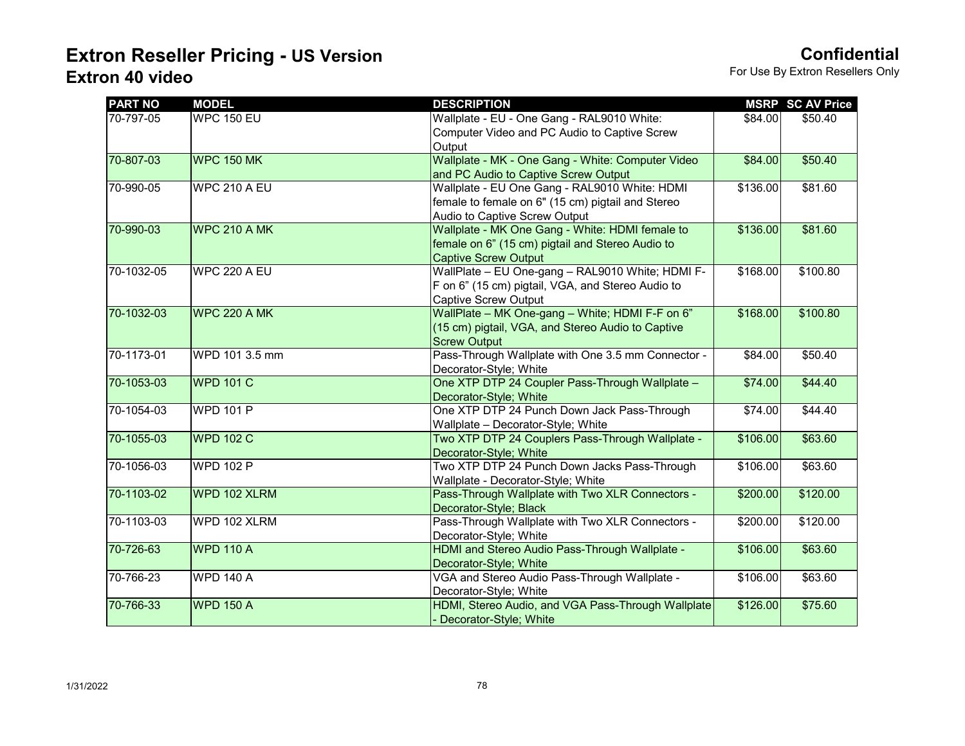| <b>PART NO</b> | <b>MODEL</b>        | <b>DESCRIPTION</b>                                                                                                                  |                      | <b>MSRP SC AV Price</b> |
|----------------|---------------------|-------------------------------------------------------------------------------------------------------------------------------------|----------------------|-------------------------|
| 70-797-05      | <b>WPC 150 EU</b>   | Wallplate - EU - One Gang - RAL9010 White:<br>Computer Video and PC Audio to Captive Screw<br>Output                                | \$84.00              | \$50.40                 |
| 70-807-03      | <b>WPC 150 MK</b>   | Wallplate - MK - One Gang - White: Computer Video<br>and PC Audio to Captive Screw Output                                           | \$84.00              | \$50.40                 |
| 70-990-05      | <b>WPC 210 A EU</b> | Wallplate - EU One Gang - RAL9010 White: HDMI<br>female to female on 6" (15 cm) pigtail and Stereo<br>Audio to Captive Screw Output | \$136.00             | \$81.60                 |
| 70-990-03      | <b>WPC 210 A MK</b> | Wallplate - MK One Gang - White: HDMI female to<br>female on 6" (15 cm) pigtail and Stereo Audio to<br><b>Captive Screw Output</b>  | \$136.00             | \$81.60                 |
| 70-1032-05     | WPC 220 A EU        | WallPlate - EU One-gang - RAL9010 White; HDMI F-<br>F on 6" (15 cm) pigtail, VGA, and Stereo Audio to<br>Captive Screw Output       | \$168.00             | \$100.80                |
| 70-1032-03     | <b>WPC 220 A MK</b> | WallPlate - MK One-gang - White; HDMI F-F on 6"<br>(15 cm) pigtail, VGA, and Stereo Audio to Captive<br><b>Screw Output</b>         | \$168.00             | \$100.80                |
| 70-1173-01     | WPD 101 3.5 mm      | Pass-Through Wallplate with One 3.5 mm Connector -<br>Decorator-Style; White                                                        | \$84.00              | \$50.40                 |
| 70-1053-03     | <b>WPD 101 C</b>    | One XTP DTP 24 Coupler Pass-Through Wallplate -<br>Decorator-Style; White                                                           | \$74.00              | \$44.40                 |
| 70-1054-03     | <b>WPD 101 P</b>    | One XTP DTP 24 Punch Down Jack Pass-Through<br>Wallplate - Decorator-Style; White                                                   | \$74.00              | \$44.40                 |
| 70-1055-03     | <b>WPD 102 C</b>    | Two XTP DTP 24 Couplers Pass-Through Wallplate -<br>Decorator-Style; White                                                          | \$106.00             | \$63.60                 |
| 70-1056-03     | <b>WPD 102 P</b>    | Two XTP DTP 24 Punch Down Jacks Pass-Through<br>Wallplate - Decorator-Style; White                                                  | \$106.00             | \$63.60                 |
| 70-1103-02     | WPD 102 XLRM        | Pass-Through Wallplate with Two XLR Connectors -<br>Decorator-Style; Black                                                          | \$200.00             | \$120.00                |
| 70-1103-03     | WPD 102 XLRM        | Pass-Through Wallplate with Two XLR Connectors -<br>Decorator-Style; White                                                          | \$200.00             | \$120.00                |
| 70-726-63      | <b>WPD 110 A</b>    | HDMI and Stereo Audio Pass-Through Wallplate -<br>Decorator-Style; White                                                            | \$106.00             | \$63.60                 |
| 70-766-23      | <b>WPD 140 A</b>    | VGA and Stereo Audio Pass-Through Wallplate -<br>Decorator-Style; White                                                             | $\overline{$}106.00$ | \$63.60                 |
| 70-766-33      | <b>WPD 150 A</b>    | HDMI, Stereo Audio, and VGA Pass-Through Wallplate<br>Decorator-Style; White                                                        | \$126.00             | \$75.60                 |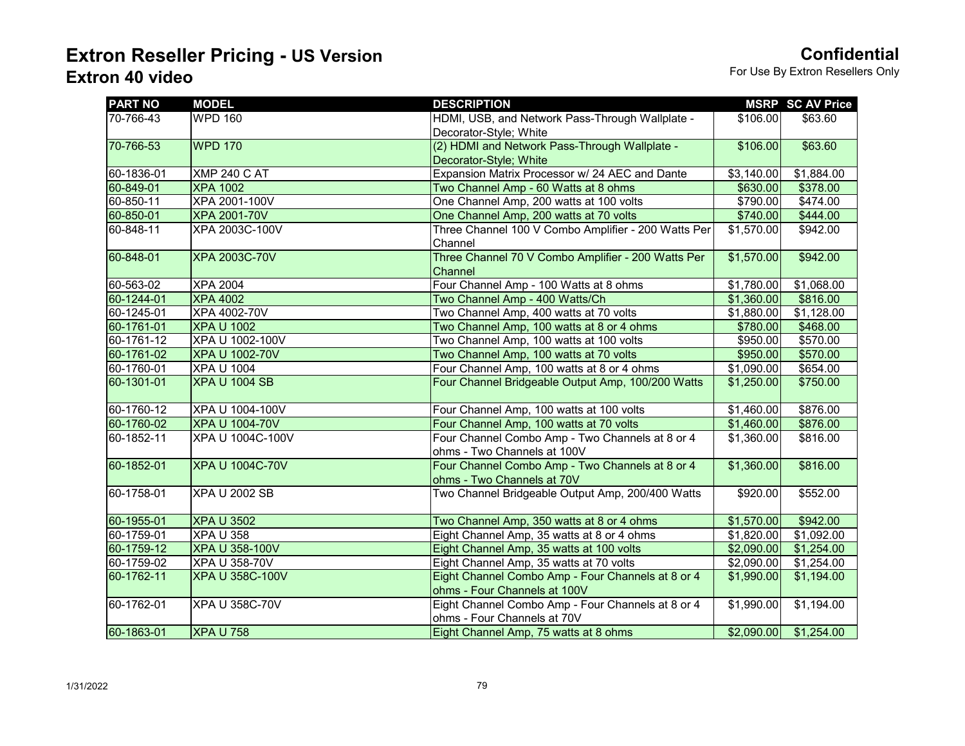| <b>PART NO</b> | <b>MODEL</b>            | <b>DESCRIPTION</b>                                  |            | <b>MSRP SC AV Price</b> |
|----------------|-------------------------|-----------------------------------------------------|------------|-------------------------|
| 70-766-43      | <b>WPD 160</b>          | HDMI, USB, and Network Pass-Through Wallplate -     | \$106.00   | \$63.60                 |
|                |                         | Decorator-Style; White                              |            |                         |
| 70-766-53      | <b>WPD 170</b>          | (2) HDMI and Network Pass-Through Wallplate -       | \$106.00   | \$63.60                 |
|                |                         | Decorator-Style; White                              |            |                         |
| 60-1836-01     | <b>XMP 240 C AT</b>     | Expansion Matrix Processor w/ 24 AEC and Dante      | \$3,140.00 | \$1,884.00              |
| 60-849-01      | <b>XPA 1002</b>         | Two Channel Amp - 60 Watts at 8 ohms                | \$630.00   | \$378.00                |
| 60-850-11      | XPA 2001-100V           | One Channel Amp, 200 watts at 100 volts             | \$790.00   | \$474.00                |
| 60-850-01      | <b>XPA 2001-70V</b>     | One Channel Amp, 200 watts at 70 volts              | \$740.00   | \$444.00                |
| 60-848-11      | XPA 2003C-100V          | Three Channel 100 V Combo Amplifier - 200 Watts Per | \$1,570.00 | \$942.00                |
|                |                         | Channel                                             |            |                         |
| 60-848-01      | <b>XPA 2003C-70V</b>    | Three Channel 70 V Combo Amplifier - 200 Watts Per  | \$1,570.00 | \$942.00                |
|                |                         | Channel                                             |            |                         |
| 60-563-02      | <b>XPA 2004</b>         | Four Channel Amp - 100 Watts at 8 ohms              | \$1,780.00 | \$1,068.00              |
| 60-1244-01     | <b>XPA 4002</b>         | Two Channel Amp - 400 Watts/Ch                      | \$1,360.00 | \$816.00                |
| 60-1245-01     | XPA 4002-70V            | Two Channel Amp, 400 watts at 70 volts              | \$1,880.00 | \$1,128.00              |
| 60-1761-01     | <b>XPA U 1002</b>       | Two Channel Amp, 100 watts at 8 or 4 ohms           | \$780.00   | \$468.00                |
| 60-1761-12     | XPA U 1002-100V         | Two Channel Amp, 100 watts at 100 volts             | \$950.00   | \$570.00                |
| 60-1761-02     | <b>XPA U 1002-70V</b>   | Two Channel Amp, 100 watts at 70 volts              | \$950.00   | \$570.00                |
| 60-1760-01     | <b>XPA U 1004</b>       | Four Channel Amp, 100 watts at 8 or 4 ohms          | \$1,090.00 | \$654.00                |
| 60-1301-01     | <b>XPA U 1004 SB</b>    | Four Channel Bridgeable Output Amp, 100/200 Watts   | \$1,250.00 | \$750.00                |
|                |                         |                                                     |            |                         |
| 60-1760-12     | XPA U 1004-100V         | Four Channel Amp, 100 watts at 100 volts            | \$1,460.00 | \$876.00                |
| 60-1760-02     | <b>XPA U 1004-70V</b>   | Four Channel Amp, 100 watts at 70 volts             | \$1,460.00 | \$876.00                |
| 60-1852-11     | <b>XPA U 1004C-100V</b> | Four Channel Combo Amp - Two Channels at 8 or 4     | \$1,360.00 | \$816.00                |
|                |                         | ohms - Two Channels at 100V                         |            |                         |
| 60-1852-01     | <b>XPA U 1004C-70V</b>  | Four Channel Combo Amp - Two Channels at 8 or 4     | \$1,360.00 | \$816.00                |
|                |                         | ohms - Two Channels at 70V                          |            |                         |
| 60-1758-01     | <b>XPA U 2002 SB</b>    | Two Channel Bridgeable Output Amp, 200/400 Watts    | \$920.00   | \$552.00                |
|                |                         |                                                     |            |                         |
| 60-1955-01     | <b>XPA U 3502</b>       | Two Channel Amp, 350 watts at 8 or 4 ohms           | \$1,570.00 | \$942.00                |
| 60-1759-01     | <b>XPA U 358</b>        | Eight Channel Amp, 35 watts at 8 or 4 ohms          | \$1,820.00 | \$1,092.00              |
| 60-1759-12     | <b>XPA U 358-100V</b>   | Eight Channel Amp, 35 watts at 100 volts            | \$2,090.00 | \$1,254.00              |
| 60-1759-02     | <b>XPA U 358-70V</b>    | Eight Channel Amp, 35 watts at 70 volts             | \$2,090.00 | \$1,254.00              |
| 60-1762-11     | <b>XPA U 358C-100V</b>  | Eight Channel Combo Amp - Four Channels at 8 or 4   | \$1,990.00 | \$1,194.00              |
|                |                         | ohms - Four Channels at 100V                        |            |                         |
| 60-1762-01     | XPA U 358C-70V          | Eight Channel Combo Amp - Four Channels at 8 or 4   | \$1,990.00 | \$1,194.00              |
|                |                         | ohms - Four Channels at 70V                         |            |                         |
| 60-1863-01     | <b>XPA U 758</b>        | Eight Channel Amp, 75 watts at 8 ohms               |            | $$2,090.00$ \$1,254.00  |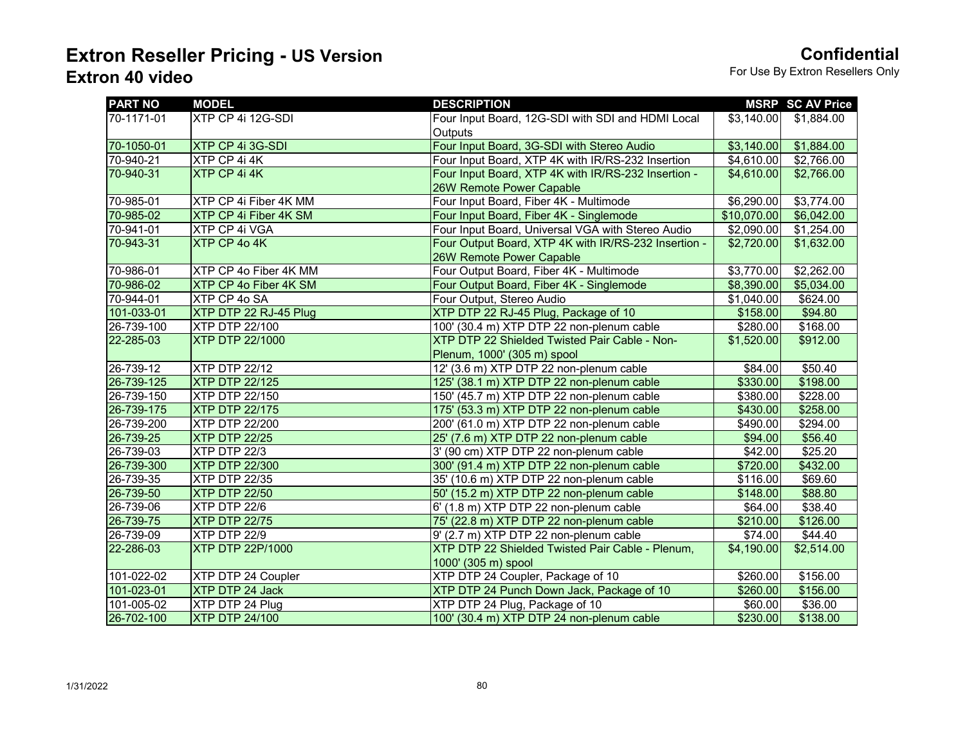| <b>PART NO</b> | <b>MODEL</b>                 | <b>DESCRIPTION</b>                                   |             | <b>MSRP SC AV Price</b> |
|----------------|------------------------------|------------------------------------------------------|-------------|-------------------------|
| 70-1171-01     | XTP CP 4i 12G-SDI            | Four Input Board, 12G-SDI with SDI and HDMI Local    | \$3,140.00  | \$1,884.00              |
|                |                              | <b>Outputs</b>                                       |             |                         |
| 70-1050-01     | XTP CP 4i 3G-SDI             | Four Input Board, 3G-SDI with Stereo Audio           | \$3,140.00  | \$1,884.00              |
| 70-940-21      | XTP CP 4i 4K                 | Four Input Board, XTP 4K with IR/RS-232 Insertion    | \$4,610.00  | \$2,766.00              |
| 70-940-31      | XTP CP 4i 4K                 | Four Input Board, XTP 4K with IR/RS-232 Insertion -  | \$4,610.00  | \$2,766.00              |
|                |                              | 26W Remote Power Capable                             |             |                         |
| 70-985-01      | XTP CP 4i Fiber 4K MM        | Four Input Board, Fiber 4K - Multimode               | \$6,290.00  | \$3,774.00              |
| 70-985-02      | <b>XTP CP 4i Fiber 4K SM</b> | Four Input Board, Fiber 4K - Singlemode              | \$10,070.00 | \$6,042.00              |
| 70-941-01      | XTP CP 4i VGA                | Four Input Board, Universal VGA with Stereo Audio    | \$2,090.00  | \$1,254.00              |
| 70-943-31      | XTP CP 4o 4K                 | Four Output Board, XTP 4K with IR/RS-232 Insertion - | \$2,720.00  | \$1,632.00              |
|                |                              | 26W Remote Power Capable                             |             |                         |
| 70-986-01      | XTP CP 4o Fiber 4K MM        | Four Output Board, Fiber 4K - Multimode              | \$3,770.00  | \$2,262.00              |
| 70-986-02      | XTP CP 4o Fiber 4K SM        | Four Output Board, Fiber 4K - Singlemode             | \$8,390.00  | \$5,034.00              |
| 70-944-01      | XTP CP 4o SA                 | Four Output, Stereo Audio                            | \$1,040.00  | \$624.00                |
| 101-033-01     | XTP DTP 22 RJ-45 Plug        | XTP DTP 22 RJ-45 Plug, Package of 10                 | \$158.00    | \$94.80                 |
| 26-739-100     | XTP DTP 22/100               | 100' (30.4 m) XTP DTP 22 non-plenum cable            | \$280.00    | \$168.00                |
| 22-285-03      | <b>XTP DTP 22/1000</b>       | XTP DTP 22 Shielded Twisted Pair Cable - Non-        | \$1,520.00  | \$912.00                |
|                |                              | Plenum, 1000' (305 m) spool                          |             |                         |
| 26-739-12      | XTP DTP 22/12                | 12' (3.6 m) XTP DTP 22 non-plenum cable              | \$84.00     | \$50.40                 |
| 26-739-125     | <b>XTP DTP 22/125</b>        | 125' (38.1 m) XTP DTP 22 non-plenum cable            | \$330.00    | \$198.00                |
| 26-739-150     | XTP DTP 22/150               | 150' (45.7 m) XTP DTP 22 non-plenum cable            | \$380.00    | \$228.00                |
| 26-739-175     | <b>XTP DTP 22/175</b>        | 175' (53.3 m) XTP DTP 22 non-plenum cable            | \$430.00    | \$258.00                |
| 26-739-200     | <b>XTP DTP 22/200</b>        | 200' (61.0 m) XTP DTP 22 non-plenum cable            | \$490.00    | \$294.00                |
| 26-739-25      | <b>XTP DTP 22/25</b>         | 25' (7.6 m) XTP DTP 22 non-plenum cable              | \$94.00     | \$56.40                 |
| 26-739-03      | XTP DTP 22/3                 | 3' (90 cm) XTP DTP 22 non-plenum cable               | \$42.00     | \$25.20                 |
| 26-739-300     | <b>XTP DTP 22/300</b>        | 300' (91.4 m) XTP DTP 22 non-plenum cable            | \$720.00    | \$432.00                |
| 26-739-35      | <b>XTP DTP 22/35</b>         | 35' (10.6 m) XTP DTP 22 non-plenum cable             | \$116.00    | \$69.60                 |
| 26-739-50      | <b>XTP DTP 22/50</b>         | 50' (15.2 m) XTP DTP 22 non-plenum cable             | \$148.00    | \$88.80                 |
| 26-739-06      | XTP DTP 22/6                 | 6' (1.8 m) XTP DTP 22 non-plenum cable               | \$64.00     | \$38.40                 |
| 26-739-75      | <b>XTP DTP 22/75</b>         | 75' (22.8 m) XTP DTP 22 non-plenum cable             | \$210.00    | \$126.00                |
| 26-739-09      | XTP DTP 22/9                 | 9' (2.7 m) XTP DTP 22 non-plenum cable               | \$74.00     | \$44.40                 |
| 22-286-03      | XTP DTP 22P/1000             | XTP DTP 22 Shielded Twisted Pair Cable - Plenum,     | \$4,190.00  | \$2,514.00              |
|                |                              | 1000' (305 m) spool                                  |             |                         |
| 101-022-02     | XTP DTP 24 Coupler           | XTP DTP 24 Coupler, Package of 10                    | \$260.00    | \$156.00                |
| 101-023-01     | XTP DTP 24 Jack              | XTP DTP 24 Punch Down Jack, Package of 10            | \$260.00    | \$156.00                |
| 101-005-02     | XTP DTP 24 Plug              | XTP DTP 24 Plug, Package of 10                       | \$60.00     | \$36.00                 |
| 26-702-100     | <b>XTP DTP 24/100</b>        | 100' (30.4 m) XTP DTP 24 non-plenum cable            | \$230.00    | \$138.00                |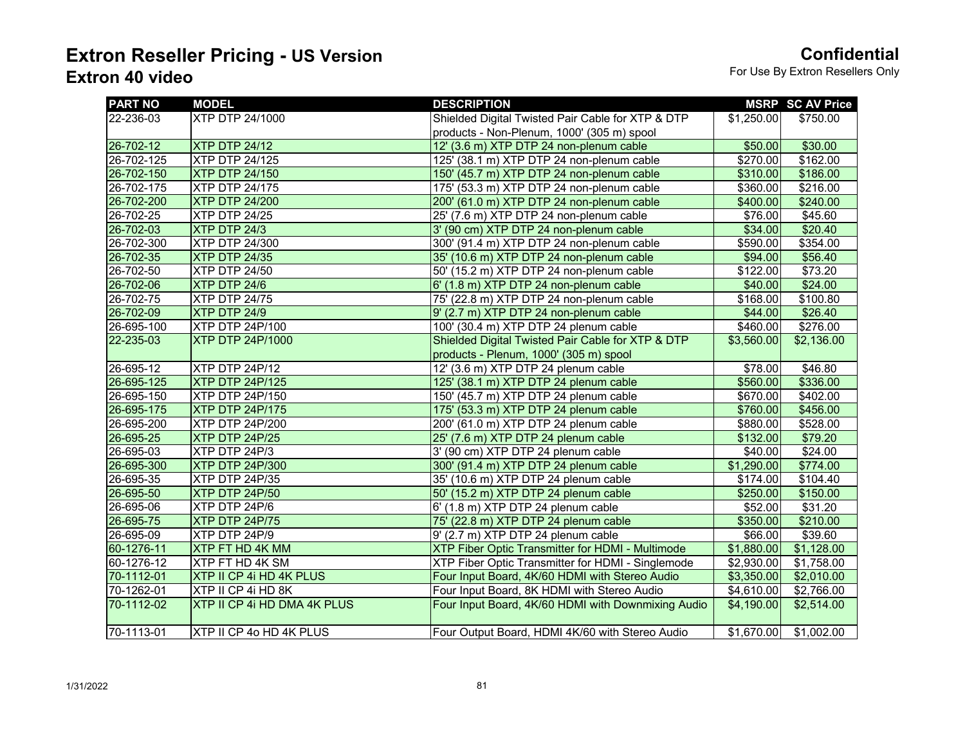| <b>PART NO</b> | <b>MODEL</b>                | <b>DESCRIPTION</b>                                 |            | <b>MSRP SC AV Price</b> |
|----------------|-----------------------------|----------------------------------------------------|------------|-------------------------|
| 22-236-03      | <b>XTP DTP 24/1000</b>      | Shielded Digital Twisted Pair Cable for XTP & DTP  | \$1,250.00 | \$750.00                |
|                |                             | products - Non-Plenum, 1000' (305 m) spool         |            |                         |
| 26-702-12      | XTP DTP 24/12               | 12' (3.6 m) XTP DTP 24 non-plenum cable            | \$50.00    | \$30.00                 |
| 26-702-125     | <b>XTP DTP 24/125</b>       | 125' (38.1 m) XTP DTP 24 non-plenum cable          | \$270.00   | \$162.00                |
| 26-702-150     | <b>XTP DTP 24/150</b>       | 150' (45.7 m) XTP DTP 24 non-plenum cable          | \$310.00   | \$186.00                |
| 26-702-175     | <b>XTP DTP 24/175</b>       | 175' (53.3 m) XTP DTP 24 non-plenum cable          | \$360.00   | \$216.00                |
| 26-702-200     | <b>XTP DTP 24/200</b>       | 200' (61.0 m) XTP DTP 24 non-plenum cable          | \$400.00   | \$240.00                |
| 26-702-25      | <b>XTP DTP 24/25</b>        | 25' (7.6 m) XTP DTP 24 non-plenum cable            | \$76.00    | \$45.60                 |
| 26-702-03      | XTP DTP 24/3                | 3' (90 cm) XTP DTP 24 non-plenum cable             | \$34.00    | \$20.40                 |
| 26-702-300     | <b>XTP DTP 24/300</b>       | 300' (91.4 m) XTP DTP 24 non-plenum cable          | \$590.00   | \$354.00                |
| 26-702-35      | <b>XTP DTP 24/35</b>        | 35' (10.6 m) XTP DTP 24 non-plenum cable           | \$94.00    | \$56.40                 |
| 26-702-50      | <b>XTP DTP 24/50</b>        | 50' (15.2 m) XTP DTP 24 non-plenum cable           | \$122.00   | \$73.20                 |
| 26-702-06      | XTP DTP 24/6                | 6' (1.8 m) XTP DTP 24 non-plenum cable             | \$40.00    | \$24.00                 |
| 26-702-75      | <b>XTP DTP 24/75</b>        | 75' (22.8 m) XTP DTP 24 non-plenum cable           | \$168.00   | \$100.80                |
| 26-702-09      | XTP DTP 24/9                | 9' (2.7 m) XTP DTP 24 non-plenum cable             | \$44.00    | \$26.40                 |
| 26-695-100     | XTP DTP 24P/100             | 100' (30.4 m) XTP DTP 24 plenum cable              | \$460.00   | \$276.00                |
| 22-235-03      | <b>XTP DTP 24P/1000</b>     | Shielded Digital Twisted Pair Cable for XTP & DTP  | \$3,560.00 | \$2,136.00              |
|                |                             | products - Plenum, 1000' (305 m) spool             |            |                         |
| 26-695-12      | XTP DTP 24P/12              | 12' (3.6 m) XTP DTP 24 plenum cable                | \$78.00    | \$46.80                 |
| 26-695-125     | XTP DTP 24P/125             | 125' (38.1 m) XTP DTP 24 plenum cable              | \$560.00   | \$336.00                |
| 26-695-150     | XTP DTP 24P/150             | 150' (45.7 m) XTP DTP 24 plenum cable              | \$670.00   | \$402.00                |
| 26-695-175     | XTP DTP 24P/175             | 175' (53.3 m) XTP DTP 24 plenum cable              | \$760.00   | \$456.00                |
| 26-695-200     | XTP DTP 24P/200             | 200' (61.0 m) XTP DTP 24 plenum cable              | \$880.00   | \$528.00                |
| 26-695-25      | XTP DTP 24P/25              | 25' (7.6 m) XTP DTP 24 plenum cable                | \$132.00   | \$79.20                 |
| 26-695-03      | XTP DTP 24P/3               | 3' (90 cm) XTP DTP 24 plenum cable                 | \$40.00    | \$24.00                 |
| 26-695-300     | <b>XTP DTP 24P/300</b>      | 300' (91.4 m) XTP DTP 24 plenum cable              | \$1,290.00 | \$774.00                |
| 26-695-35      | XTP DTP 24P/35              | 35' (10.6 m) XTP DTP 24 plenum cable               | \$174.00   | \$104.40                |
| 26-695-50      | XTP DTP 24P/50              | 50' (15.2 m) XTP DTP 24 plenum cable               | \$250.00   | \$150.00                |
| 26-695-06      | XTP DTP 24P/6               | 6' (1.8 m) XTP DTP 24 plenum cable                 | \$52.00    | \$31.20                 |
| 26-695-75      | XTP DTP 24P/75              | 75' (22.8 m) XTP DTP 24 plenum cable               | \$350.00   | \$210.00                |
| 26-695-09      | XTP DTP 24P/9               | 9' (2.7 m) XTP DTP 24 plenum cable                 | \$66.00    | \$39.60                 |
| 60-1276-11     | XTP FT HD 4K MM             | XTP Fiber Optic Transmitter for HDMI - Multimode   | \$1,880.00 | \$1,128.00              |
| 60-1276-12     | XTP FT HD 4K SM             | XTP Fiber Optic Transmitter for HDMI - Singlemode  | \$2,930.00 | \$1,758.00              |
| 70-1112-01     | XTP II CP 4i HD 4K PLUS     | Four Input Board, 4K/60 HDMI with Stereo Audio     | \$3,350.00 | \$2,010.00              |
| 70-1262-01     | XTP II CP 4i HD 8K          | Four Input Board, 8K HDMI with Stereo Audio        | \$4,610.00 | \$2,766.00              |
| 70-1112-02     | XTP II CP 4i HD DMA 4K PLUS | Four Input Board, 4K/60 HDMI with Downmixing Audio | \$4,190.00 | \$2,514.00              |
| 70-1113-01     | XTP II CP 4o HD 4K PLUS     | Four Output Board, HDMI 4K/60 with Stereo Audio    |            | $$1,670.00$ $$1,002.00$ |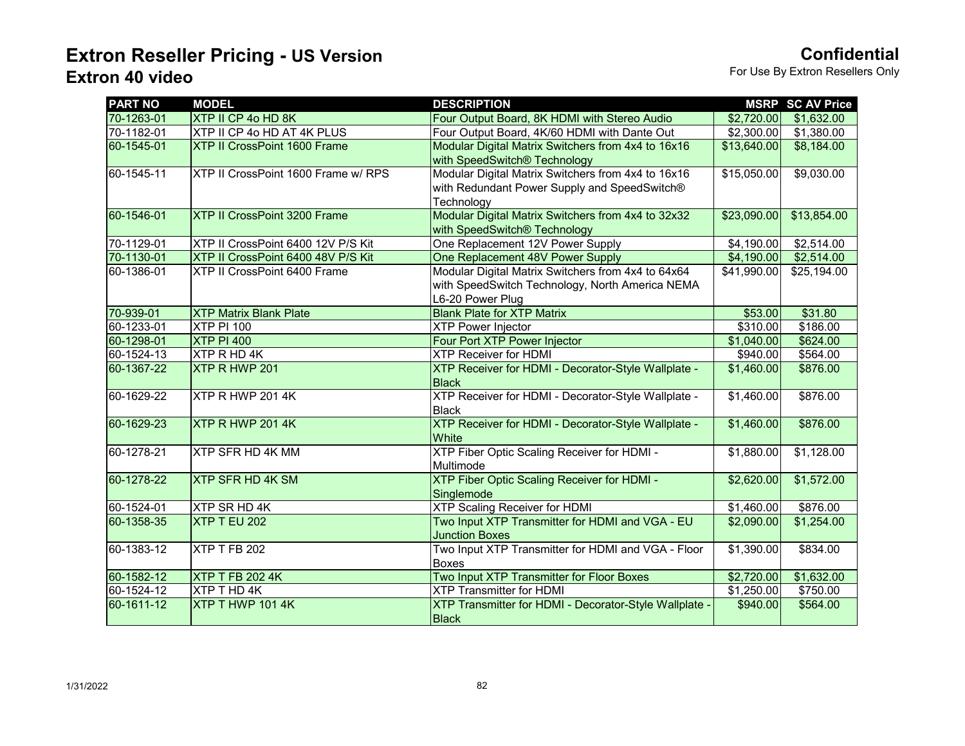| <b>PART NO</b> | <b>MODEL</b>                        | <b>DESCRIPTION</b>                                     |             | <b>MSRP SC AV Price</b> |
|----------------|-------------------------------------|--------------------------------------------------------|-------------|-------------------------|
| 70-1263-01     | XTP II CP 4o HD 8K                  | Four Output Board, 8K HDMI with Stereo Audio           | \$2,720.00  | \$1,632.00              |
| 70-1182-01     | XTP II CP 4o HD AT 4K PLUS          | Four Output Board, 4K/60 HDMI with Dante Out           | \$2,300.00  | \$1,380.00              |
| 60-1545-01     | XTP II CrossPoint 1600 Frame        | Modular Digital Matrix Switchers from 4x4 to 16x16     | \$13,640.00 | \$8,184.00              |
|                |                                     | with SpeedSwitch® Technology                           |             |                         |
| 60-1545-11     | XTP II CrossPoint 1600 Frame w/ RPS | Modular Digital Matrix Switchers from 4x4 to 16x16     | \$15,050.00 | \$9,030.00              |
|                |                                     | with Redundant Power Supply and SpeedSwitch®           |             |                         |
|                |                                     | Technology                                             |             |                         |
| 60-1546-01     | <b>XTP II CrossPoint 3200 Frame</b> | Modular Digital Matrix Switchers from 4x4 to 32x32     | \$23,090.00 | \$13,854.00             |
|                |                                     | with SpeedSwitch® Technology                           |             |                         |
| 70-1129-01     | XTP II CrossPoint 6400 12V P/S Kit  | One Replacement 12V Power Supply                       | \$4,190.00  | \$2,514.00              |
| 70-1130-01     | XTP II CrossPoint 6400 48V P/S Kit  | One Replacement 48V Power Supply                       | \$4,190.00  | \$2,514.00              |
| 60-1386-01     | XTP II CrossPoint 6400 Frame        | Modular Digital Matrix Switchers from 4x4 to 64x64     | \$41,990.00 | \$25,194.00             |
|                |                                     | with SpeedSwitch Technology, North America NEMA        |             |                         |
|                |                                     | L6-20 Power Plug                                       |             |                         |
| 70-939-01      | <b>XTP Matrix Blank Plate</b>       | <b>Blank Plate for XTP Matrix</b>                      | \$53.00     | \$31.80                 |
| 60-1233-01     | <b>XTP PI 100</b>                   | <b>XTP Power Injector</b>                              | \$310.00    | \$186.00                |
| 60-1298-01     | <b>XTP PI 400</b>                   | Four Port XTP Power Injector                           | \$1,040.00  | \$624.00                |
| 60-1524-13     | XTP R HD 4K                         | <b>XTP Receiver for HDMI</b>                           | \$940.00    | \$564.00                |
| 60-1367-22     | XTP R HWP 201                       | XTP Receiver for HDMI - Decorator-Style Wallplate -    | \$1,460.00  | \$876.00                |
|                |                                     | <b>Black</b>                                           |             |                         |
| 60-1629-22     | XTP R HWP 201 4K                    | XTP Receiver for HDMI - Decorator-Style Wallplate -    | \$1,460.00  | \$876.00                |
|                |                                     | <b>Black</b>                                           |             |                         |
| 60-1629-23     | XTP R HWP 201 4K                    | XTP Receiver for HDMI - Decorator-Style Wallplate -    | \$1,460.00  | \$876.00                |
|                |                                     | White                                                  |             |                         |
| 60-1278-21     | <b>XTP SFR HD 4K MM</b>             | XTP Fiber Optic Scaling Receiver for HDMI -            | \$1,880.00  | \$1,128.00              |
|                |                                     | Multimode                                              |             |                         |
| 60-1278-22     | <b>XTP SFR HD 4K SM</b>             | <b>XTP Fiber Optic Scaling Receiver for HDMI -</b>     | \$2,620.00  | \$1,572.00              |
|                |                                     | Singlemode                                             |             |                         |
| 60-1524-01     | XTP SR HD 4K                        | <b>XTP Scaling Receiver for HDMI</b>                   | \$1,460.00  | \$876.00                |
| 60-1358-35     | XTP T EU 202                        | Two Input XTP Transmitter for HDMI and VGA - EU        | \$2,090.00  | \$1,254.00              |
|                |                                     | <b>Junction Boxes</b>                                  |             |                         |
| 60-1383-12     | XTP T FB 202                        | Two Input XTP Transmitter for HDMI and VGA - Floor     | \$1,390.00  | \$834.00                |
|                |                                     | Boxes                                                  |             |                         |
| 60-1582-12     | <b>XTP T FB 202 4K</b>              | Two Input XTP Transmitter for Floor Boxes              | \$2,720.00  | \$1,632.00              |
| 60-1524-12     | XTP T HD 4K                         | <b>XTP Transmitter for HDMI</b>                        | \$1,250.00  | \$750.00                |
| 60-1611-12     | XTP T HWP 101 4K                    | XTP Transmitter for HDMI - Decorator-Style Wallplate - | \$940.00    | \$564.00                |
|                |                                     | <b>Black</b>                                           |             |                         |